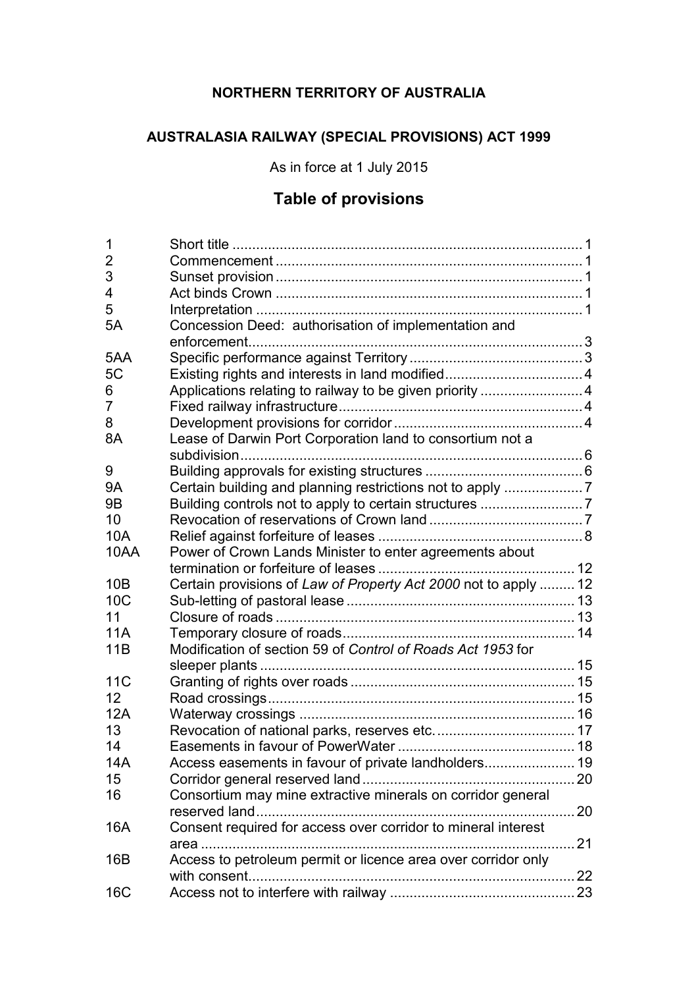# **NORTHERN TERRITORY OF AUSTRALIA**

# **AUSTRALASIA RAILWAY (SPECIAL PROVISIONS) ACT 1999**

As in force at 1 July 2015

# **Table of provisions**

| 1               |                                                                 |    |
|-----------------|-----------------------------------------------------------------|----|
| 2               |                                                                 |    |
| 3               |                                                                 |    |
| 4               |                                                                 |    |
| 5               |                                                                 |    |
| 5A              | Concession Deed: authorisation of implementation and            |    |
|                 |                                                                 |    |
| 5AA             |                                                                 |    |
| 5C              |                                                                 |    |
| 6               | Applications relating to railway to be given priority 4         |    |
| 7               |                                                                 |    |
| 8               |                                                                 |    |
| 8A              | Lease of Darwin Port Corporation land to consortium not a       |    |
| 9               |                                                                 |    |
| 9Α              | Certain building and planning restrictions not to apply 7       |    |
| 9 <sub>B</sub>  |                                                                 |    |
| 10              |                                                                 |    |
| <b>10A</b>      |                                                                 |    |
|                 |                                                                 |    |
| 10AA            | Power of Crown Lands Minister to enter agreements about         |    |
| 10B             | Certain provisions of Law of Property Act 2000 not to apply  12 |    |
| 10 <sub>C</sub> |                                                                 |    |
| 11              |                                                                 |    |
| <b>11A</b>      |                                                                 |    |
| 11B             | Modification of section 59 of Control of Roads Act 1953 for     |    |
|                 |                                                                 |    |
| 11C             |                                                                 |    |
| 12              |                                                                 |    |
| 12A             |                                                                 |    |
| 13              |                                                                 |    |
| 14              |                                                                 |    |
| 14A             | Access easements in favour of private landholders 19            |    |
| 15              |                                                                 |    |
| 16              | Consortium may mine extractive minerals on corridor general     |    |
|                 | reserved land<br>.                                              | 20 |
| 16A             | Consent required for access over corridor to mineral interest   |    |
|                 | area<br>.                                                       | 21 |
| 16B             | Access to petroleum permit or licence area over corridor only   |    |
|                 |                                                                 |    |
| 16C             |                                                                 |    |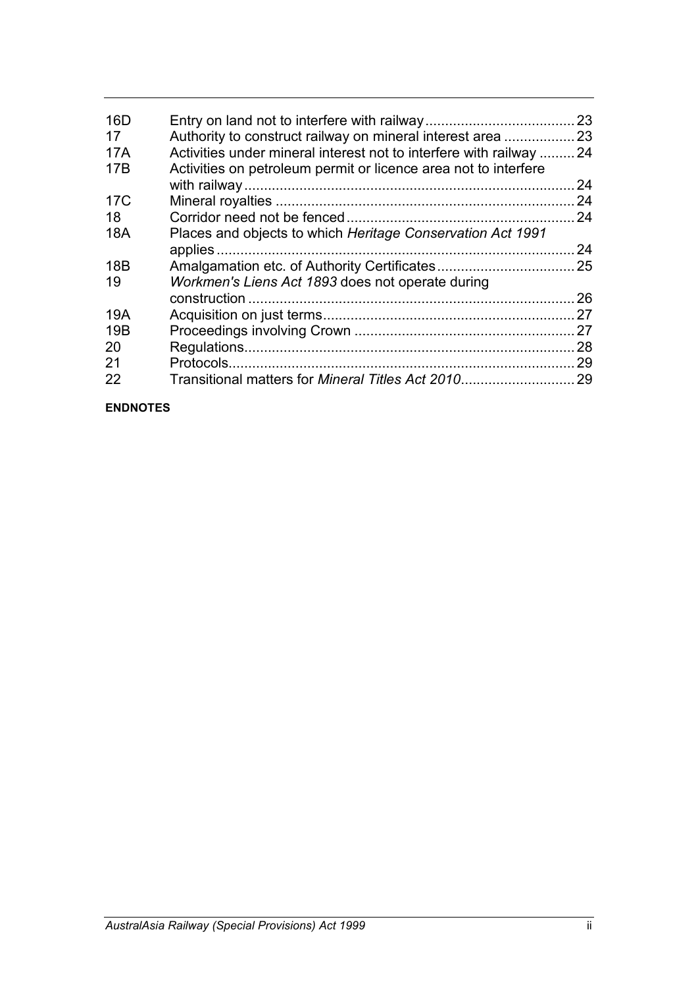| Activities under mineral interest not to interfere with railway  24 | 23                                                              |
|---------------------------------------------------------------------|-----------------------------------------------------------------|
|                                                                     | 24                                                              |
|                                                                     | 24                                                              |
|                                                                     | 24                                                              |
| Places and objects to which Heritage Conservation Act 1991          | 24                                                              |
|                                                                     |                                                                 |
| Workmen's Liens Act 1893 does not operate during                    |                                                                 |
| construction.                                                       | 26                                                              |
|                                                                     | 27                                                              |
|                                                                     | 27                                                              |
|                                                                     | 28                                                              |
|                                                                     | 29                                                              |
| Transitional matters for Mineral Titles Act 2010                    | 29                                                              |
|                                                                     | Activities on petroleum permit or licence area not to interfere |

#### **ENDNOTES**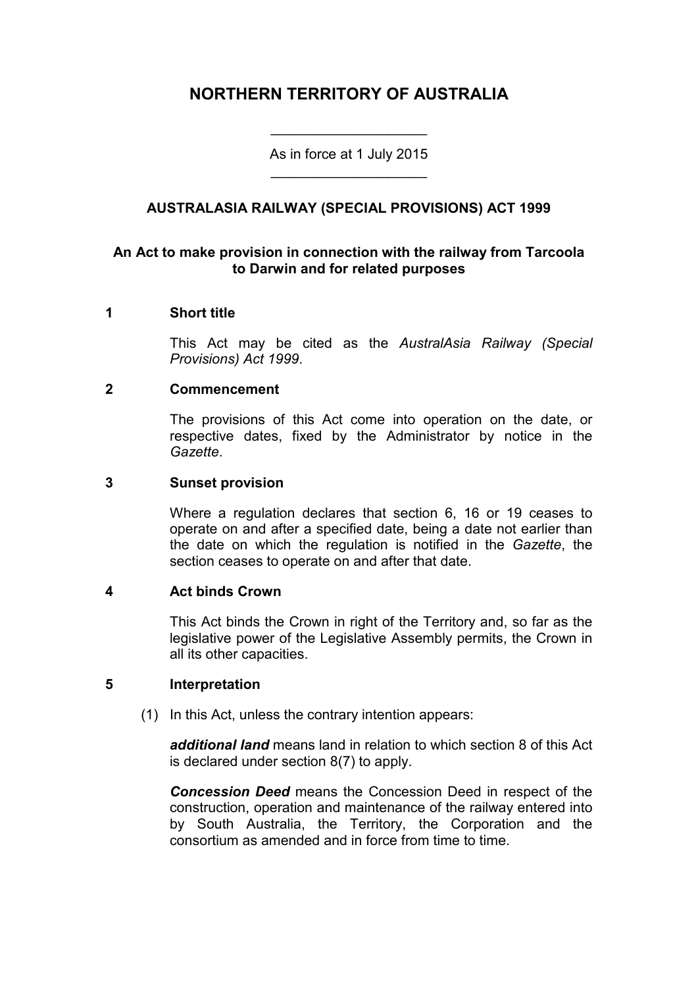# **NORTHERN TERRITORY OF AUSTRALIA**

As in force at 1 July 2015 \_\_\_\_\_\_\_\_\_\_\_\_\_\_\_\_\_\_\_\_

\_\_\_\_\_\_\_\_\_\_\_\_\_\_\_\_\_\_\_\_

# **AUSTRALASIA RAILWAY (SPECIAL PROVISIONS) ACT 1999**

### **An Act to make provision in connection with the railway from Tarcoola to Darwin and for related purposes**

#### **1 Short title**

This Act may be cited as the *AustralAsia Railway (Special Provisions) Act 1999*.

#### **2 Commencement**

The provisions of this Act come into operation on the date, or respective dates, fixed by the Administrator by notice in the *Gazette*.

#### **3 Sunset provision**

Where a regulation declares that section 6, 16 or 19 ceases to operate on and after a specified date, being a date not earlier than the date on which the regulation is notified in the *Gazette*, the section ceases to operate on and after that date.

#### **4 Act binds Crown**

This Act binds the Crown in right of the Territory and, so far as the legislative power of the Legislative Assembly permits, the Crown in all its other capacities.

#### **5 Interpretation**

(1) In this Act, unless the contrary intention appears:

*additional land* means land in relation to which section 8 of this Act is declared under section 8(7) to apply.

*Concession Deed* means the Concession Deed in respect of the construction, operation and maintenance of the railway entered into by South Australia, the Territory, the Corporation and the consortium as amended and in force from time to time.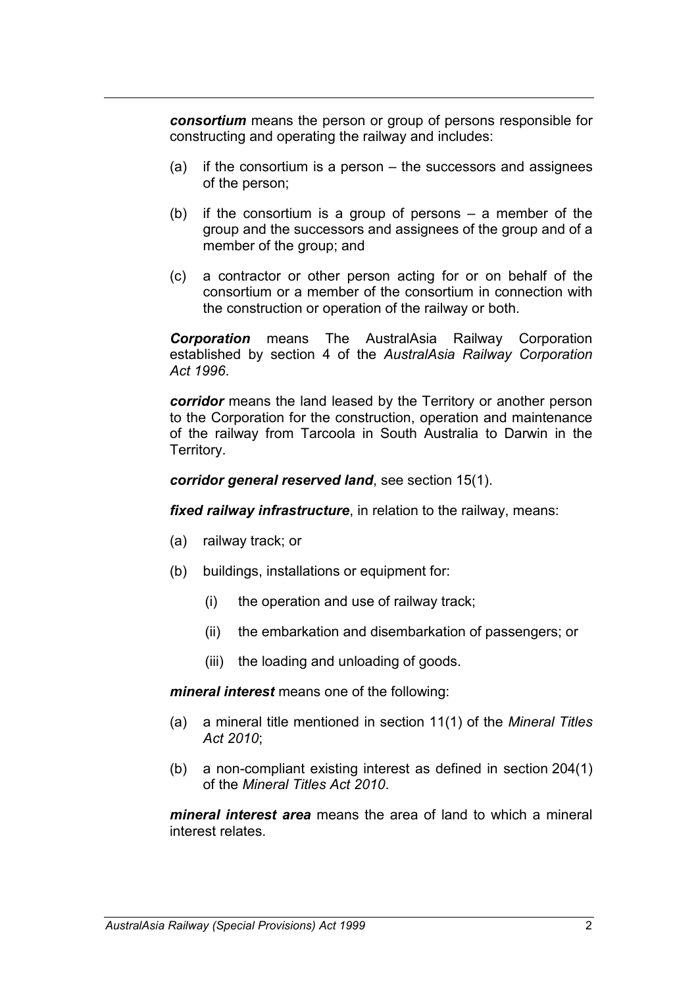*consortium* means the person or group of persons responsible for constructing and operating the railway and includes:

- (a) if the consortium is a person the successors and assignees of the person;
- (b) if the consortium is a group of persons a member of the group and the successors and assignees of the group and of a member of the group; and
- (c) a contractor or other person acting for or on behalf of the consortium or a member of the consortium in connection with the construction or operation of the railway or both.

*Corporation* means The AustralAsia Railway Corporation established by section 4 of the *AustralAsia Railway Corporation Act 1996*.

*corridor* means the land leased by the Territory or another person to the Corporation for the construction, operation and maintenance of the railway from Tarcoola in South Australia to Darwin in the Territory.

*corridor general reserved land*, see section 15(1).

*fixed railway infrastructure*, in relation to the railway, means:

- (a) railway track; or
- (b) buildings, installations or equipment for:
	- (i) the operation and use of railway track;
	- (ii) the embarkation and disembarkation of passengers; or
	- (iii) the loading and unloading of goods.

*mineral interest* means one of the following:

- (a) a mineral title mentioned in section 11(1) of the *Mineral Titles Act 2010*;
- (b) a non-compliant existing interest as defined in section 204(1) of the *Mineral Titles Act 2010*.

*mineral interest area* means the area of land to which a mineral interest relates.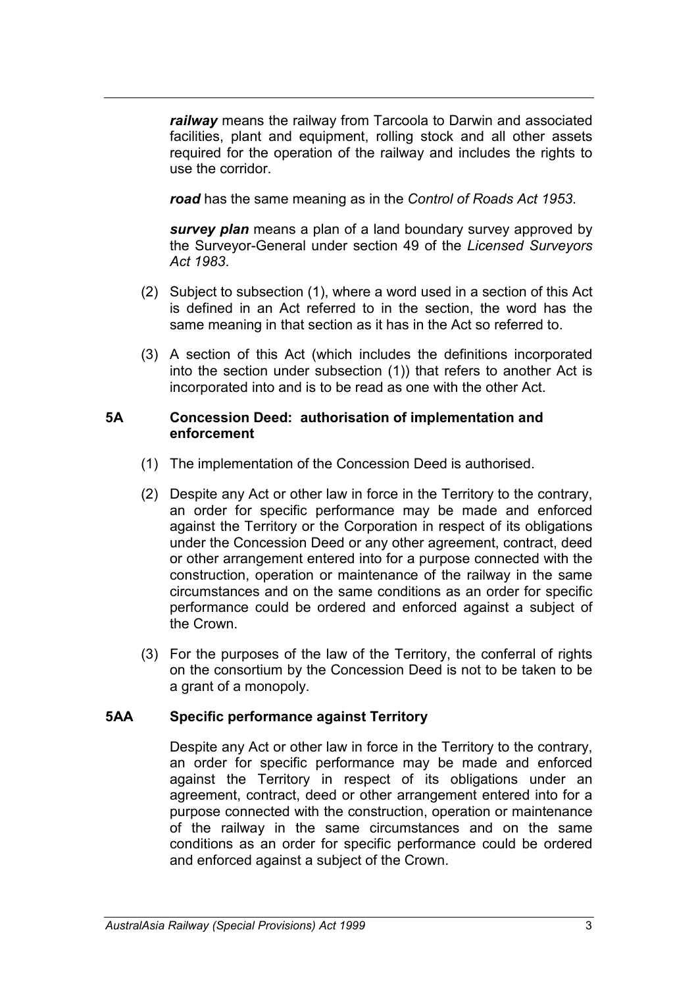*railway* means the railway from Tarcoola to Darwin and associated facilities, plant and equipment, rolling stock and all other assets required for the operation of the railway and includes the rights to use the corridor.

*road* has the same meaning as in the *Control of Roads Act 1953*.

*survey plan* means a plan of a land boundary survey approved by the Surveyor-General under section 49 of the *Licensed Surveyors Act 1983*.

- (2) Subject to subsection (1), where a word used in a section of this Act is defined in an Act referred to in the section, the word has the same meaning in that section as it has in the Act so referred to.
- (3) A section of this Act (which includes the definitions incorporated into the section under subsection (1)) that refers to another Act is incorporated into and is to be read as one with the other Act.

#### **5A Concession Deed: authorisation of implementation and enforcement**

- (1) The implementation of the Concession Deed is authorised.
- (2) Despite any Act or other law in force in the Territory to the contrary, an order for specific performance may be made and enforced against the Territory or the Corporation in respect of its obligations under the Concession Deed or any other agreement, contract, deed or other arrangement entered into for a purpose connected with the construction, operation or maintenance of the railway in the same circumstances and on the same conditions as an order for specific performance could be ordered and enforced against a subject of the Crown.
- (3) For the purposes of the law of the Territory, the conferral of rights on the consortium by the Concession Deed is not to be taken to be a grant of a monopoly.

# **5AA Specific performance against Territory**

Despite any Act or other law in force in the Territory to the contrary, an order for specific performance may be made and enforced against the Territory in respect of its obligations under an agreement, contract, deed or other arrangement entered into for a purpose connected with the construction, operation or maintenance of the railway in the same circumstances and on the same conditions as an order for specific performance could be ordered and enforced against a subject of the Crown.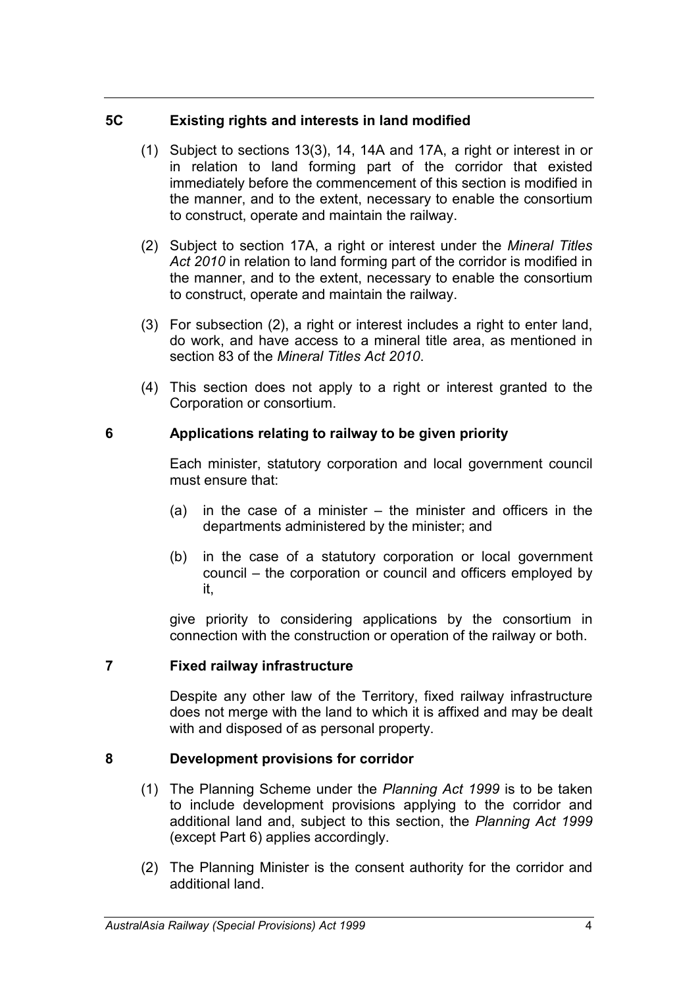### **5C Existing rights and interests in land modified**

- (1) Subject to sections 13(3), 14, 14A and 17A, a right or interest in or in relation to land forming part of the corridor that existed immediately before the commencement of this section is modified in the manner, and to the extent, necessary to enable the consortium to construct, operate and maintain the railway.
- (2) Subject to section 17A, a right or interest under the *Mineral Titles Act 2010* in relation to land forming part of the corridor is modified in the manner, and to the extent, necessary to enable the consortium to construct, operate and maintain the railway.
- (3) For subsection (2), a right or interest includes a right to enter land, do work, and have access to a mineral title area, as mentioned in section 83 of the *Mineral Titles Act 2010*.
- (4) This section does not apply to a right or interest granted to the Corporation or consortium.

# **6 Applications relating to railway to be given priority**

Each minister, statutory corporation and local government council must ensure that:

- (a) in the case of a minister the minister and officers in the departments administered by the minister; and
- (b) in the case of a statutory corporation or local government council – the corporation or council and officers employed by it,

give priority to considering applications by the consortium in connection with the construction or operation of the railway or both.

# **7 Fixed railway infrastructure**

Despite any other law of the Territory, fixed railway infrastructure does not merge with the land to which it is affixed and may be dealt with and disposed of as personal property.

# **8 Development provisions for corridor**

- (1) The Planning Scheme under the *Planning Act 1999* is to be taken to include development provisions applying to the corridor and additional land and, subject to this section, the *Planning Act 1999*  (except Part 6) applies accordingly.
- (2) The Planning Minister is the consent authority for the corridor and additional land.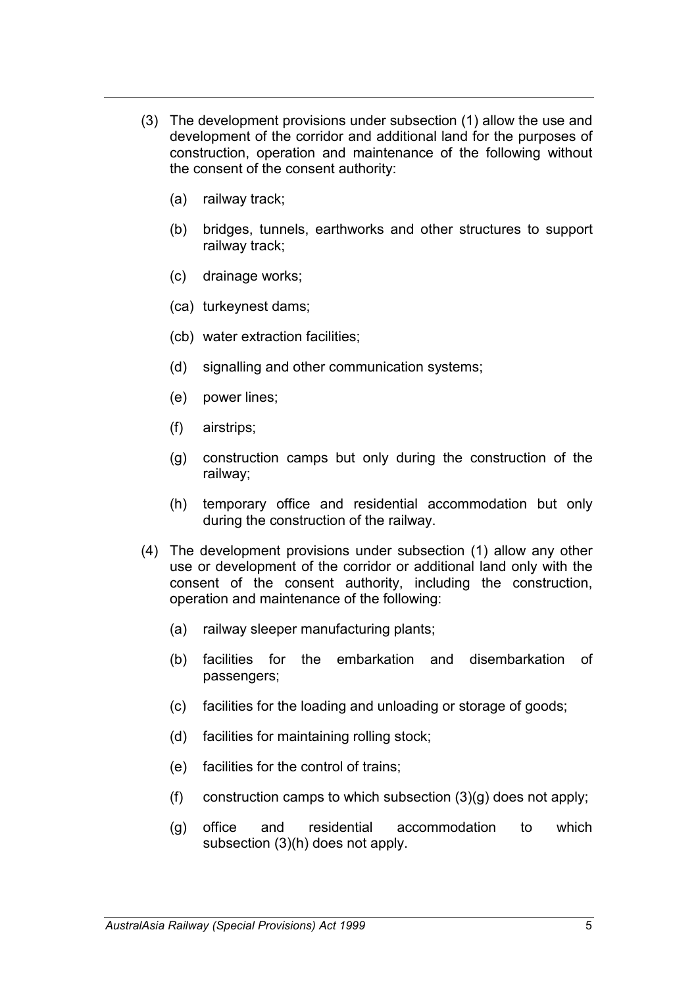- (3) The development provisions under subsection (1) allow the use and development of the corridor and additional land for the purposes of construction, operation and maintenance of the following without the consent of the consent authority:
	- (a) railway track;
	- (b) bridges, tunnels, earthworks and other structures to support railway track;
	- (c) drainage works;
	- (ca) turkeynest dams;
	- (cb) water extraction facilities;
	- (d) signalling and other communication systems;
	- (e) power lines;
	- (f) airstrips;
	- (g) construction camps but only during the construction of the railway;
	- (h) temporary office and residential accommodation but only during the construction of the railway.
- (4) The development provisions under subsection (1) allow any other use or development of the corridor or additional land only with the consent of the consent authority, including the construction, operation and maintenance of the following:
	- (a) railway sleeper manufacturing plants;
	- (b) facilities for the embarkation and disembarkation of passengers;
	- (c) facilities for the loading and unloading or storage of goods;
	- (d) facilities for maintaining rolling stock;
	- (e) facilities for the control of trains;
	- (f) construction camps to which subsection  $(3)(g)$  does not apply;
	- (g) office and residential accommodation to which subsection (3)(h) does not apply.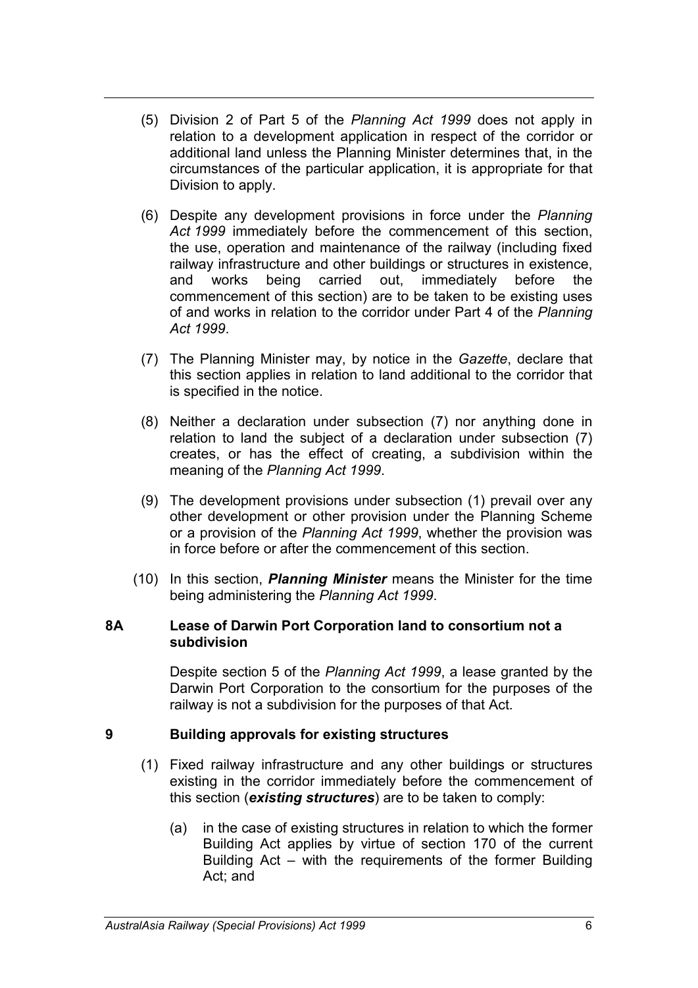- (5) Division 2 of Part 5 of the *Planning Act 1999* does not apply in relation to a development application in respect of the corridor or additional land unless the Planning Minister determines that, in the circumstances of the particular application, it is appropriate for that Division to apply.
- (6) Despite any development provisions in force under the *Planning Act 1999* immediately before the commencement of this section, the use, operation and maintenance of the railway (including fixed railway infrastructure and other buildings or structures in existence, and works being carried out, immediately before the commencement of this section) are to be taken to be existing uses of and works in relation to the corridor under Part 4 of the *Planning Act 1999*.
- (7) The Planning Minister may, by notice in the *Gazette*, declare that this section applies in relation to land additional to the corridor that is specified in the notice.
- (8) Neither a declaration under subsection (7) nor anything done in relation to land the subject of a declaration under subsection (7) creates, or has the effect of creating, a subdivision within the meaning of the *Planning Act 1999*.
- (9) The development provisions under subsection (1) prevail over any other development or other provision under the Planning Scheme or a provision of the *Planning Act 1999*, whether the provision was in force before or after the commencement of this section.
- (10) In this section, *Planning Minister* means the Minister for the time being administering the *Planning Act 1999*.

#### **8A Lease of Darwin Port Corporation land to consortium not a subdivision**

Despite section 5 of the *Planning Act 1999*, a lease granted by the Darwin Port Corporation to the consortium for the purposes of the railway is not a subdivision for the purposes of that Act.

#### **9 Building approvals for existing structures**

- (1) Fixed railway infrastructure and any other buildings or structures existing in the corridor immediately before the commencement of this section (*existing structures*) are to be taken to comply:
	- (a) in the case of existing structures in relation to which the former Building Act applies by virtue of section 170 of the current Building Act – with the requirements of the former Building Act; and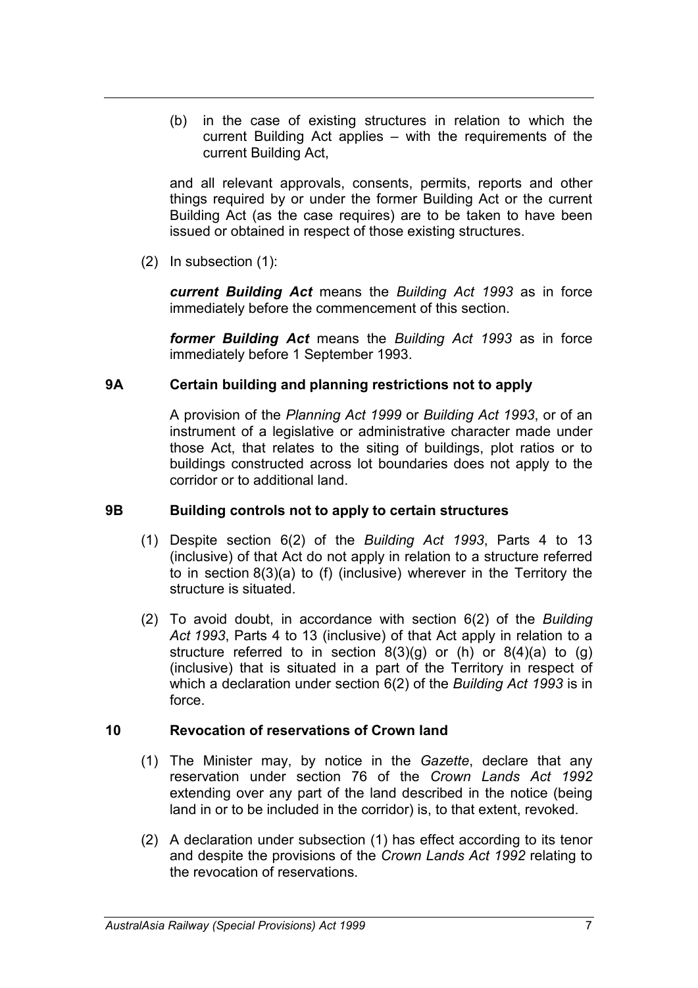(b) in the case of existing structures in relation to which the current Building Act applies – with the requirements of the current Building Act,

and all relevant approvals, consents, permits, reports and other things required by or under the former Building Act or the current Building Act (as the case requires) are to be taken to have been issued or obtained in respect of those existing structures.

(2) In subsection (1):

*current Building Act* means the *Building Act 1993* as in force immediately before the commencement of this section.

*former Building Act* means the *Building Act 1993* as in force immediately before 1 September 1993.

### **9A Certain building and planning restrictions not to apply**

A provision of the *Planning Act 1999* or *Building Act 1993*, or of an instrument of a legislative or administrative character made under those Act, that relates to the siting of buildings, plot ratios or to buildings constructed across lot boundaries does not apply to the corridor or to additional land.

### **9B Building controls not to apply to certain structures**

- (1) Despite section 6(2) of the *Building Act 1993*, Parts 4 to 13 (inclusive) of that Act do not apply in relation to a structure referred to in section 8(3)(a) to (f) (inclusive) wherever in the Territory the structure is situated.
- (2) To avoid doubt, in accordance with section 6(2) of the *Building Act 1993*, Parts 4 to 13 (inclusive) of that Act apply in relation to a structure referred to in section  $8(3)(q)$  or (h) or  $8(4)(a)$  to  $(g)$ (inclusive) that is situated in a part of the Territory in respect of which a declaration under section 6(2) of the *Building Act 1993* is in force.

# **10 Revocation of reservations of Crown land**

- (1) The Minister may, by notice in the *Gazette*, declare that any reservation under section 76 of the *Crown Lands Act 1992* extending over any part of the land described in the notice (being land in or to be included in the corridor) is, to that extent, revoked.
- (2) A declaration under subsection (1) has effect according to its tenor and despite the provisions of the *Crown Lands Act 1992* relating to the revocation of reservations.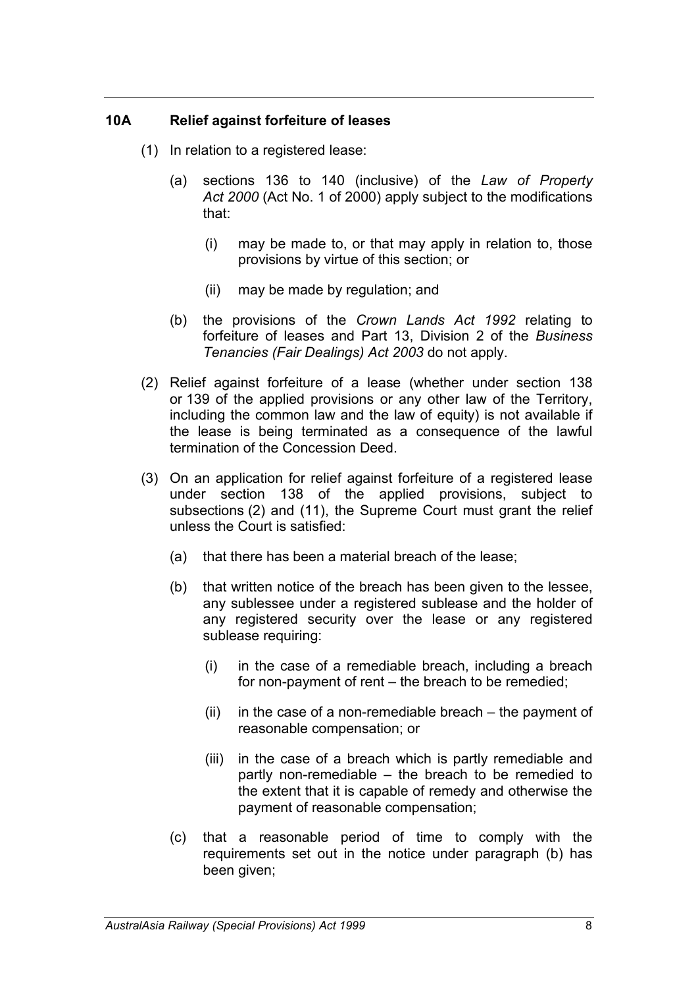#### **10A Relief against forfeiture of leases**

- (1) In relation to a registered lease:
	- (a) sections 136 to 140 (inclusive) of the *Law of Property Act 2000* (Act No. 1 of 2000) apply subject to the modifications that:
		- (i) may be made to, or that may apply in relation to, those provisions by virtue of this section; or
		- (ii) may be made by regulation; and
	- (b) the provisions of the *Crown Lands Act 1992* relating to forfeiture of leases and Part 13, Division 2 of the *Business Tenancies (Fair Dealings) Act 2003* do not apply.
- (2) Relief against forfeiture of a lease (whether under section 138 or 139 of the applied provisions or any other law of the Territory, including the common law and the law of equity) is not available if the lease is being terminated as a consequence of the lawful termination of the Concession Deed.
- (3) On an application for relief against forfeiture of a registered lease under section 138 of the applied provisions, subject to subsections (2) and (11), the Supreme Court must grant the relief unless the Court is satisfied:
	- (a) that there has been a material breach of the lease;
	- (b) that written notice of the breach has been given to the lessee, any sublessee under a registered sublease and the holder of any registered security over the lease or any registered sublease requiring:
		- (i) in the case of a remediable breach, including a breach for non-payment of rent – the breach to be remedied;
		- $(ii)$  in the case of a non-remediable breach the payment of reasonable compensation; or
		- (iii) in the case of a breach which is partly remediable and partly non-remediable – the breach to be remedied to the extent that it is capable of remedy and otherwise the payment of reasonable compensation;
	- (c) that a reasonable period of time to comply with the requirements set out in the notice under paragraph (b) has been given;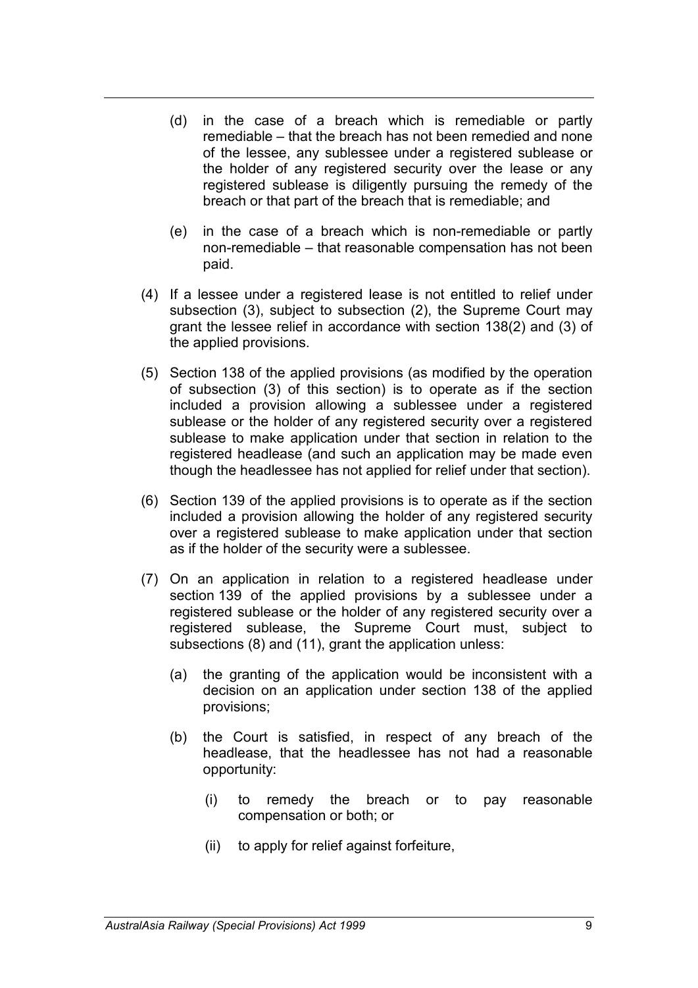- (d) in the case of a breach which is remediable or partly remediable – that the breach has not been remedied and none of the lessee, any sublessee under a registered sublease or the holder of any registered security over the lease or any registered sublease is diligently pursuing the remedy of the breach or that part of the breach that is remediable; and
- (e) in the case of a breach which is non-remediable or partly non-remediable – that reasonable compensation has not been paid.
- (4) If a lessee under a registered lease is not entitled to relief under subsection (3), subject to subsection (2), the Supreme Court may grant the lessee relief in accordance with section 138(2) and (3) of the applied provisions.
- (5) Section 138 of the applied provisions (as modified by the operation of subsection (3) of this section) is to operate as if the section included a provision allowing a sublessee under a registered sublease or the holder of any registered security over a registered sublease to make application under that section in relation to the registered headlease (and such an application may be made even though the headlessee has not applied for relief under that section).
- (6) Section 139 of the applied provisions is to operate as if the section included a provision allowing the holder of any registered security over a registered sublease to make application under that section as if the holder of the security were a sublessee.
- (7) On an application in relation to a registered headlease under section 139 of the applied provisions by a sublessee under a registered sublease or the holder of any registered security over a registered sublease, the Supreme Court must, subject to subsections (8) and (11), grant the application unless:
	- (a) the granting of the application would be inconsistent with a decision on an application under section 138 of the applied provisions;
	- (b) the Court is satisfied, in respect of any breach of the headlease, that the headlessee has not had a reasonable opportunity:
		- (i) to remedy the breach or to pay reasonable compensation or both; or
		- (ii) to apply for relief against forfeiture,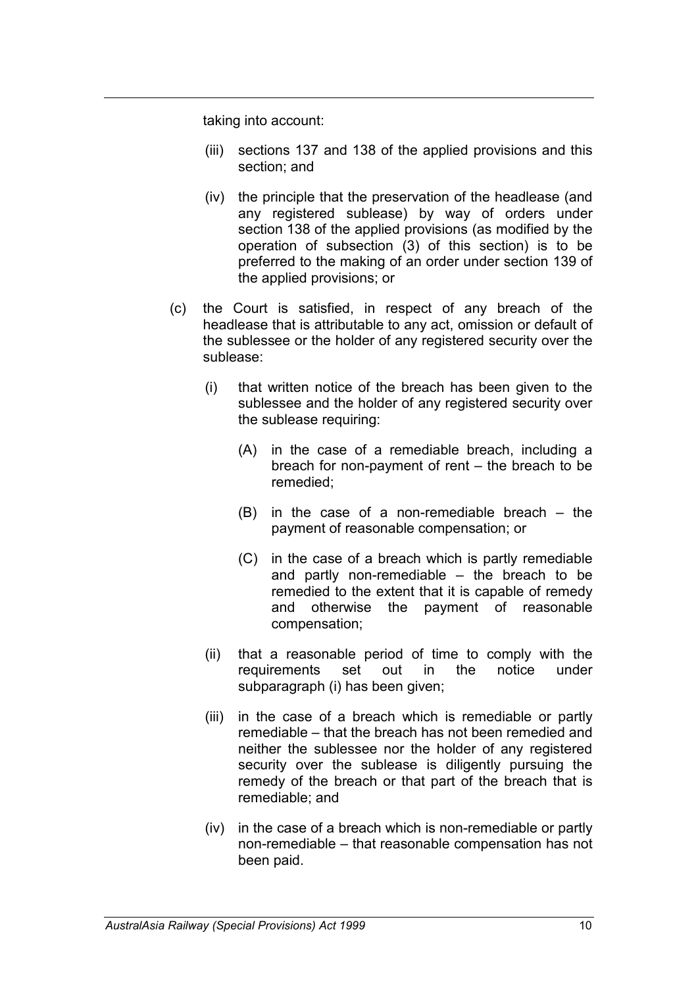taking into account:

- (iii) sections 137 and 138 of the applied provisions and this section; and
- (iv) the principle that the preservation of the headlease (and any registered sublease) by way of orders under section 138 of the applied provisions (as modified by the operation of subsection (3) of this section) is to be preferred to the making of an order under section 139 of the applied provisions; or
- (c) the Court is satisfied, in respect of any breach of the headlease that is attributable to any act, omission or default of the sublessee or the holder of any registered security over the sublease:
	- (i) that written notice of the breach has been given to the sublessee and the holder of any registered security over the sublease requiring:
		- (A) in the case of a remediable breach, including a breach for non-payment of rent – the breach to be remedied;
		- (B) in the case of a non-remediable breach the payment of reasonable compensation; or
		- (C) in the case of a breach which is partly remediable and partly non-remediable – the breach to be remedied to the extent that it is capable of remedy and otherwise the payment of reasonable compensation;
	- (ii) that a reasonable period of time to comply with the requirements set out in the notice under subparagraph (i) has been given;
	- (iii) in the case of a breach which is remediable or partly remediable – that the breach has not been remedied and neither the sublessee nor the holder of any registered security over the sublease is diligently pursuing the remedy of the breach or that part of the breach that is remediable; and
	- (iv) in the case of a breach which is non-remediable or partly non-remediable – that reasonable compensation has not been paid.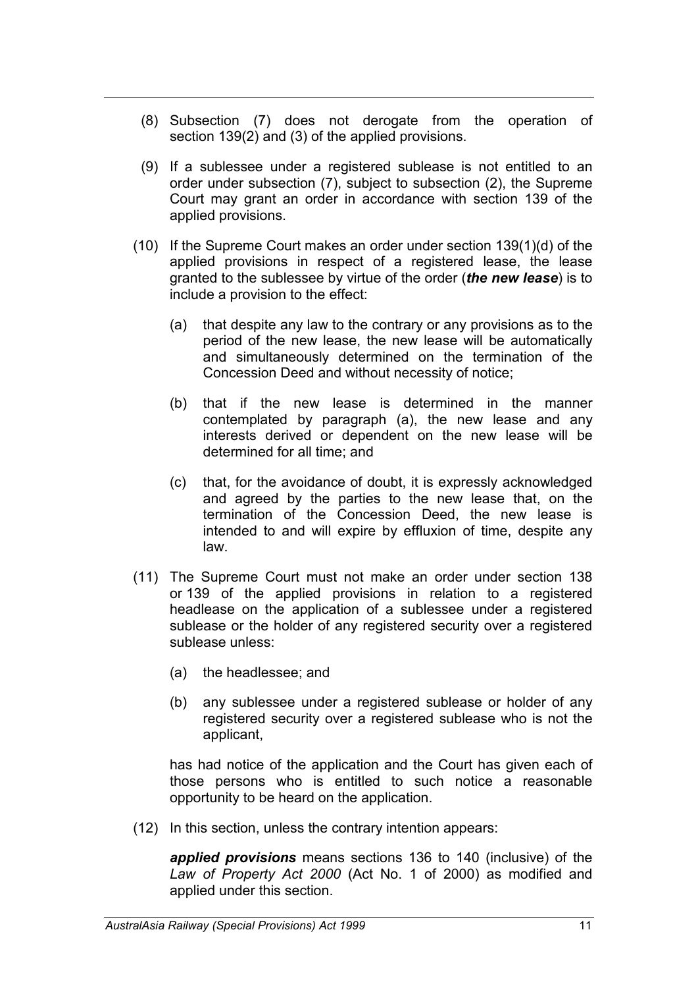- (8) Subsection (7) does not derogate from the operation of section 139(2) and (3) of the applied provisions.
- (9) If a sublessee under a registered sublease is not entitled to an order under subsection (7), subject to subsection (2), the Supreme Court may grant an order in accordance with section 139 of the applied provisions.
- (10) If the Supreme Court makes an order under section 139(1)(d) of the applied provisions in respect of a registered lease, the lease granted to the sublessee by virtue of the order (*the new lease*) is to include a provision to the effect:
	- (a) that despite any law to the contrary or any provisions as to the period of the new lease, the new lease will be automatically and simultaneously determined on the termination of the Concession Deed and without necessity of notice;
	- (b) that if the new lease is determined in the manner contemplated by paragraph (a), the new lease and any interests derived or dependent on the new lease will be determined for all time; and
	- (c) that, for the avoidance of doubt, it is expressly acknowledged and agreed by the parties to the new lease that, on the termination of the Concession Deed, the new lease is intended to and will expire by effluxion of time, despite any law.
- (11) The Supreme Court must not make an order under section 138 or 139 of the applied provisions in relation to a registered headlease on the application of a sublessee under a registered sublease or the holder of any registered security over a registered sublease unless:
	- (a) the headlessee; and
	- (b) any sublessee under a registered sublease or holder of any registered security over a registered sublease who is not the applicant,

has had notice of the application and the Court has given each of those persons who is entitled to such notice a reasonable opportunity to be heard on the application.

(12) In this section, unless the contrary intention appears:

*applied provisions* means sections 136 to 140 (inclusive) of the *Law of Property Act 2000* (Act No. 1 of 2000) as modified and applied under this section.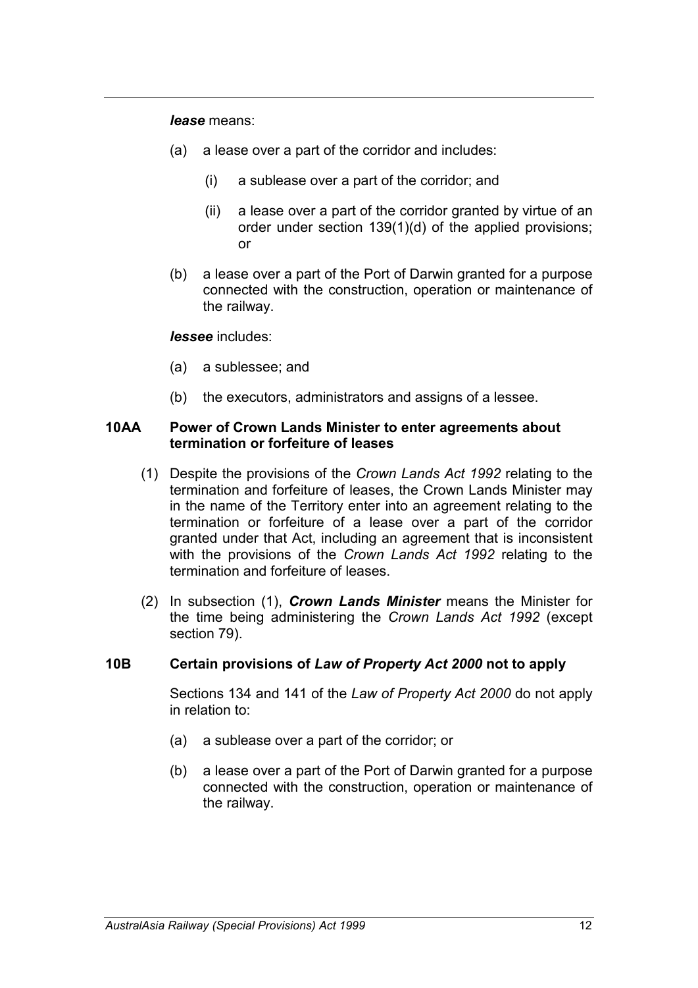*lease* means:

- (a) a lease over a part of the corridor and includes:
	- (i) a sublease over a part of the corridor; and
	- (ii) a lease over a part of the corridor granted by virtue of an order under section 139(1)(d) of the applied provisions; or
- (b) a lease over a part of the Port of Darwin granted for a purpose connected with the construction, operation or maintenance of the railway.

#### *lessee* includes:

- (a) a sublessee; and
- (b) the executors, administrators and assigns of a lessee.

#### **10AA Power of Crown Lands Minister to enter agreements about termination or forfeiture of leases**

- (1) Despite the provisions of the *Crown Lands Act 1992* relating to the termination and forfeiture of leases, the Crown Lands Minister may in the name of the Territory enter into an agreement relating to the termination or forfeiture of a lease over a part of the corridor granted under that Act, including an agreement that is inconsistent with the provisions of the *Crown Lands Act 1992* relating to the termination and forfeiture of leases.
- (2) In subsection (1), *Crown Lands Minister* means the Minister for the time being administering the *Crown Lands Act 1992* (except section 79).

#### **10B Certain provisions of** *Law of Property Act 2000* **not to apply**

Sections 134 and 141 of the *Law of Property Act 2000* do not apply in relation to:

- (a) a sublease over a part of the corridor; or
- (b) a lease over a part of the Port of Darwin granted for a purpose connected with the construction, operation or maintenance of the railway.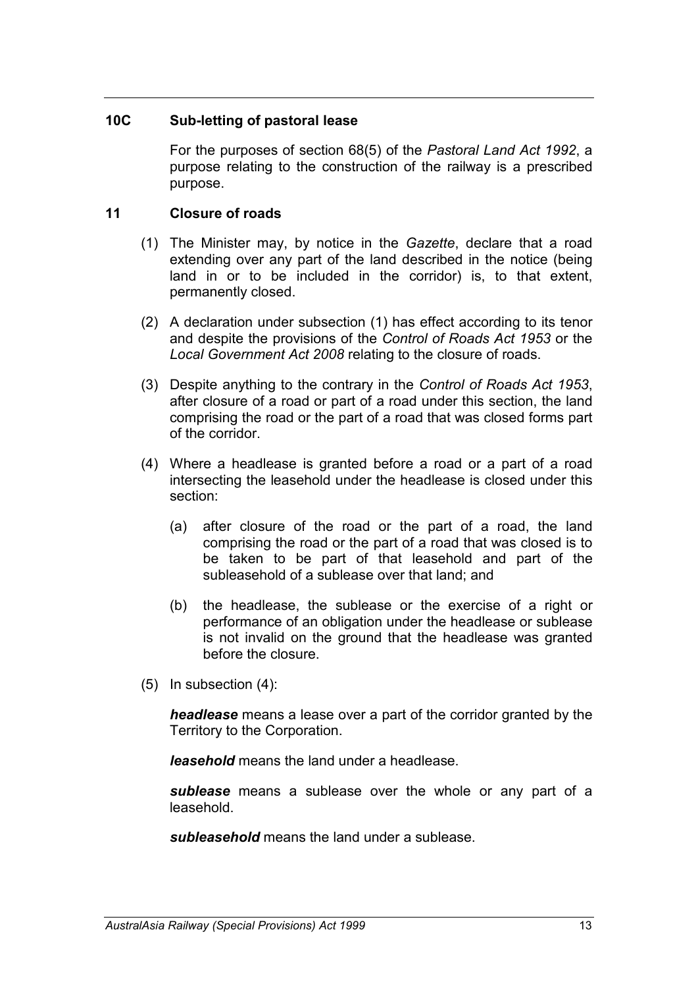#### **10C Sub-letting of pastoral lease**

For the purposes of section 68(5) of the *Pastoral Land Act 1992*, a purpose relating to the construction of the railway is a prescribed purpose.

#### **11 Closure of roads**

- (1) The Minister may, by notice in the *Gazette*, declare that a road extending over any part of the land described in the notice (being land in or to be included in the corridor) is, to that extent, permanently closed.
- (2) A declaration under subsection (1) has effect according to its tenor and despite the provisions of the *Control of Roads Act 1953* or the *Local Government Act 2008* relating to the closure of roads.
- (3) Despite anything to the contrary in the *Control of Roads Act 1953*, after closure of a road or part of a road under this section, the land comprising the road or the part of a road that was closed forms part of the corridor.
- (4) Where a headlease is granted before a road or a part of a road intersecting the leasehold under the headlease is closed under this section:
	- (a) after closure of the road or the part of a road, the land comprising the road or the part of a road that was closed is to be taken to be part of that leasehold and part of the subleasehold of a sublease over that land; and
	- (b) the headlease, the sublease or the exercise of a right or performance of an obligation under the headlease or sublease is not invalid on the ground that the headlease was granted before the closure.
- (5) In subsection (4):

*headlease* means a lease over a part of the corridor granted by the Territory to the Corporation.

*leasehold* means the land under a headlease.

*sublease* means a sublease over the whole or any part of a leasehold.

*subleasehold* means the land under a sublease.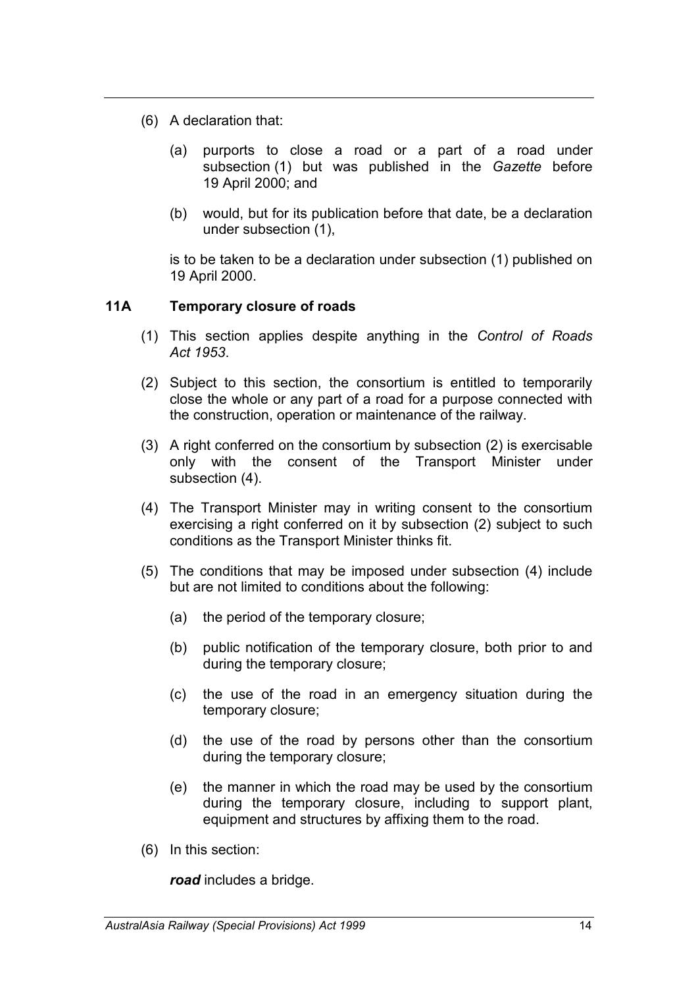- (6) A declaration that:
	- (a) purports to close a road or a part of a road under subsection (1) but was published in the *Gazette* before 19 April 2000; and
	- (b) would, but for its publication before that date, be a declaration under subsection (1),

is to be taken to be a declaration under subsection (1) published on 19 April 2000.

# **11A Temporary closure of roads**

- (1) This section applies despite anything in the *Control of Roads Act 1953*.
- (2) Subject to this section, the consortium is entitled to temporarily close the whole or any part of a road for a purpose connected with the construction, operation or maintenance of the railway.
- (3) A right conferred on the consortium by subsection (2) is exercisable only with the consent of the Transport Minister under subsection (4).
- (4) The Transport Minister may in writing consent to the consortium exercising a right conferred on it by subsection (2) subject to such conditions as the Transport Minister thinks fit.
- (5) The conditions that may be imposed under subsection (4) include but are not limited to conditions about the following:
	- (a) the period of the temporary closure;
	- (b) public notification of the temporary closure, both prior to and during the temporary closure;
	- (c) the use of the road in an emergency situation during the temporary closure;
	- (d) the use of the road by persons other than the consortium during the temporary closure;
	- (e) the manner in which the road may be used by the consortium during the temporary closure, including to support plant, equipment and structures by affixing them to the road.
- (6) In this section:

*road* includes a bridge.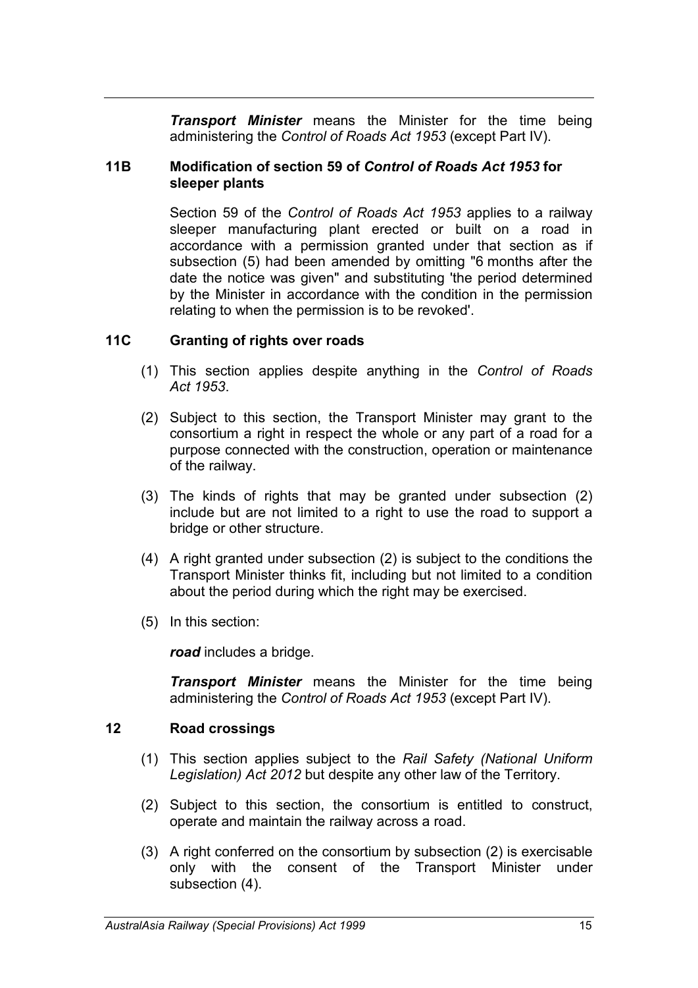*Transport Minister* means the Minister for the time being administering the *Control of Roads Act 1953* (except Part IV).

#### **11B Modification of section 59 of** *Control of Roads Act 1953* **for sleeper plants**

Section 59 of the *Control of Roads Act 1953* applies to a railway sleeper manufacturing plant erected or built on a road in accordance with a permission granted under that section as if subsection (5) had been amended by omitting "6 months after the date the notice was given" and substituting 'the period determined by the Minister in accordance with the condition in the permission relating to when the permission is to be revoked'.

#### **11C Granting of rights over roads**

- (1) This section applies despite anything in the *Control of Roads Act 1953*.
- (2) Subject to this section, the Transport Minister may grant to the consortium a right in respect the whole or any part of a road for a purpose connected with the construction, operation or maintenance of the railway.
- (3) The kinds of rights that may be granted under subsection (2) include but are not limited to a right to use the road to support a bridge or other structure.
- (4) A right granted under subsection (2) is subject to the conditions the Transport Minister thinks fit, including but not limited to a condition about the period during which the right may be exercised.
- (5) In this section:

*road* includes a bridge.

*Transport Minister* means the Minister for the time being administering the *Control of Roads Act 1953* (except Part IV).

#### **12 Road crossings**

- (1) This section applies subject to the *Rail Safety (National Uniform Legislation) Act 2012* but despite any other law of the Territory.
- (2) Subject to this section, the consortium is entitled to construct, operate and maintain the railway across a road.
- (3) A right conferred on the consortium by subsection (2) is exercisable only with the consent of the Transport Minister under subsection (4).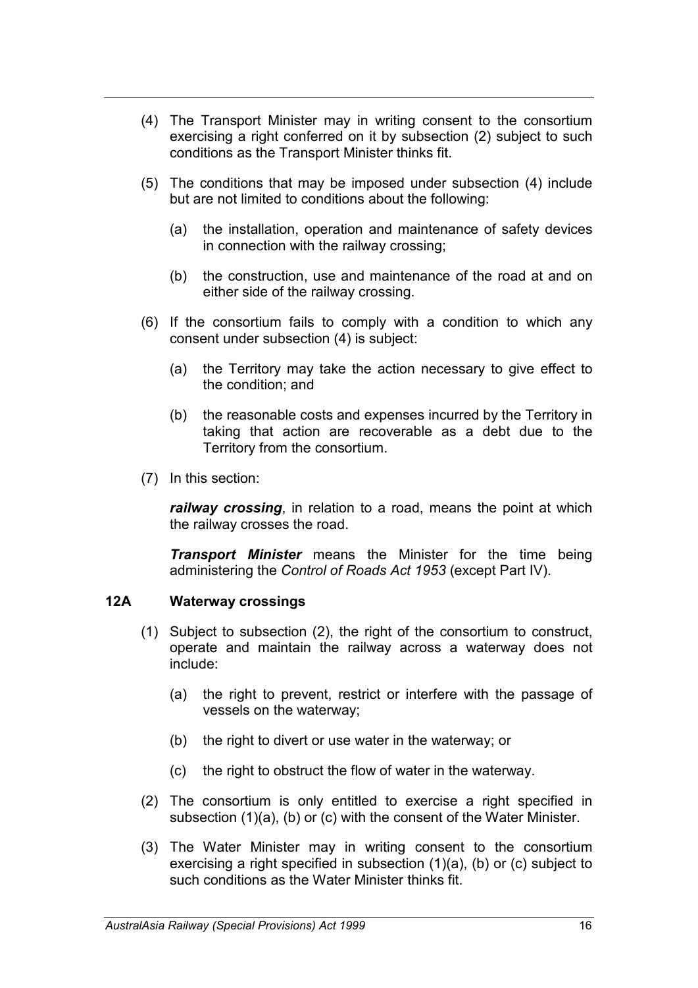- (4) The Transport Minister may in writing consent to the consortium exercising a right conferred on it by subsection (2) subject to such conditions as the Transport Minister thinks fit.
- (5) The conditions that may be imposed under subsection (4) include but are not limited to conditions about the following:
	- (a) the installation, operation and maintenance of safety devices in connection with the railway crossing;
	- (b) the construction, use and maintenance of the road at and on either side of the railway crossing.
- (6) If the consortium fails to comply with a condition to which any consent under subsection (4) is subject:
	- (a) the Territory may take the action necessary to give effect to the condition; and
	- (b) the reasonable costs and expenses incurred by the Territory in taking that action are recoverable as a debt due to the Territory from the consortium.
- (7) In this section:

*railway crossing*, in relation to a road, means the point at which the railway crosses the road.

*Transport Minister* means the Minister for the time being administering the *Control of Roads Act 1953* (except Part IV).

#### **12A Waterway crossings**

- (1) Subject to subsection (2), the right of the consortium to construct, operate and maintain the railway across a waterway does not include:
	- (a) the right to prevent, restrict or interfere with the passage of vessels on the waterway;
	- (b) the right to divert or use water in the waterway; or
	- (c) the right to obstruct the flow of water in the waterway.
- (2) The consortium is only entitled to exercise a right specified in subsection (1)(a), (b) or (c) with the consent of the Water Minister.
- (3) The Water Minister may in writing consent to the consortium exercising a right specified in subsection (1)(a), (b) or (c) subject to such conditions as the Water Minister thinks fit.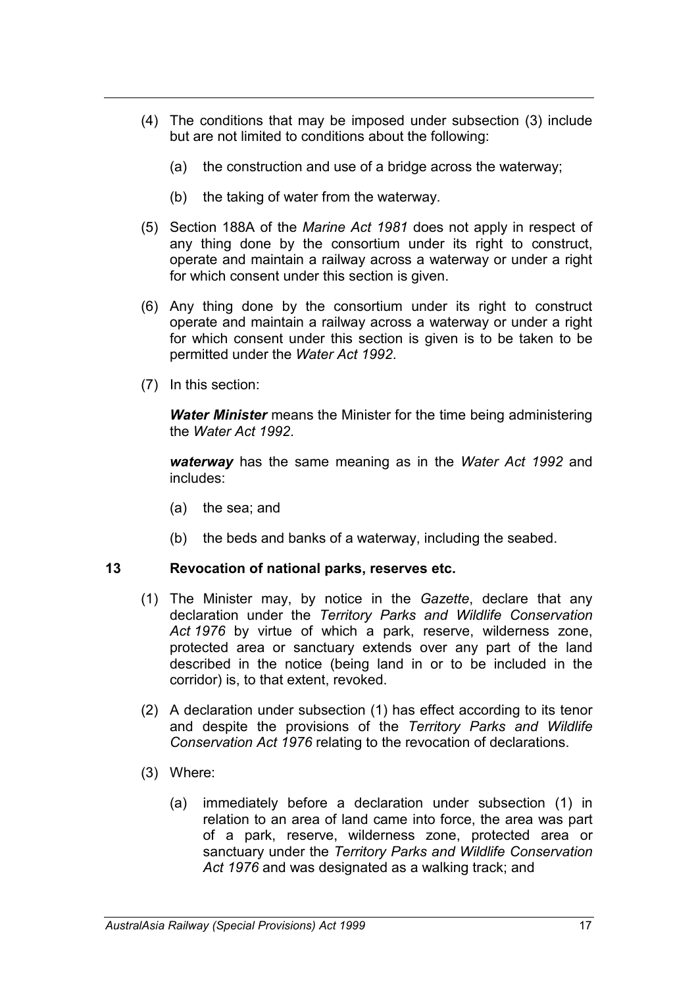- (4) The conditions that may be imposed under subsection (3) include but are not limited to conditions about the following:
	- (a) the construction and use of a bridge across the waterway;
	- (b) the taking of water from the waterway.
- (5) Section 188A of the *Marine Act 1981* does not apply in respect of any thing done by the consortium under its right to construct, operate and maintain a railway across a waterway or under a right for which consent under this section is given.
- (6) Any thing done by the consortium under its right to construct operate and maintain a railway across a waterway or under a right for which consent under this section is given is to be taken to be permitted under the *Water Act 1992*.
- (7) In this section:

*Water Minister* means the Minister for the time being administering the *Water Act 1992*.

*waterway* has the same meaning as in the *Water Act 1992* and includes:

- (a) the sea; and
- (b) the beds and banks of a waterway, including the seabed.

#### **13 Revocation of national parks, reserves etc.**

- (1) The Minister may, by notice in the *Gazette*, declare that any declaration under the *Territory Parks and Wildlife Conservation Act 1976* by virtue of which a park, reserve, wilderness zone, protected area or sanctuary extends over any part of the land described in the notice (being land in or to be included in the corridor) is, to that extent, revoked.
- (2) A declaration under subsection (1) has effect according to its tenor and despite the provisions of the *Territory Parks and Wildlife Conservation Act 1976* relating to the revocation of declarations.
- (3) Where:
	- (a) immediately before a declaration under subsection (1) in relation to an area of land came into force, the area was part of a park, reserve, wilderness zone, protected area or sanctuary under the *Territory Parks and Wildlife Conservation Act 1976* and was designated as a walking track; and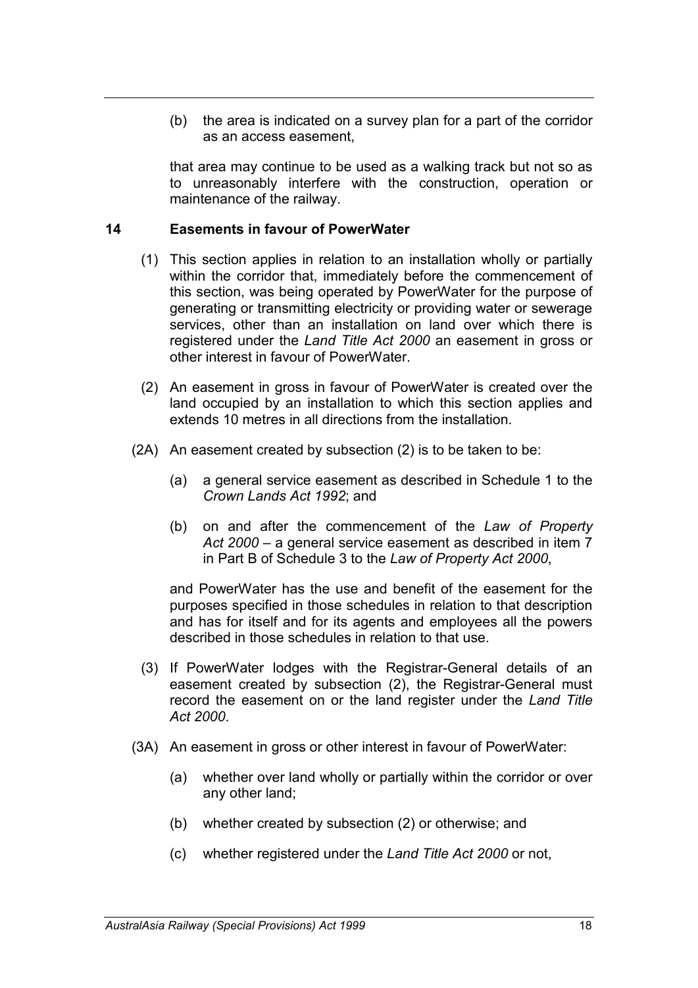(b) the area is indicated on a survey plan for a part of the corridor as an access easement,

that area may continue to be used as a walking track but not so as to unreasonably interfere with the construction, operation or maintenance of the railway.

#### **14 Easements in favour of PowerWater**

- (1) This section applies in relation to an installation wholly or partially within the corridor that, immediately before the commencement of this section, was being operated by PowerWater for the purpose of generating or transmitting electricity or providing water or sewerage services, other than an installation on land over which there is registered under the *Land Title Act 2000* an easement in gross or other interest in favour of PowerWater.
- (2) An easement in gross in favour of PowerWater is created over the land occupied by an installation to which this section applies and extends 10 metres in all directions from the installation.
- (2A) An easement created by subsection (2) is to be taken to be:
	- (a) a general service easement as described in Schedule 1 to the *Crown Lands Act 1992*; and
	- (b) on and after the commencement of the *Law of Property Act 2000* – a general service easement as described in item 7 in Part B of Schedule 3 to the *Law of Property Act 2000*,

and PowerWater has the use and benefit of the easement for the purposes specified in those schedules in relation to that description and has for itself and for its agents and employees all the powers described in those schedules in relation to that use.

- (3) If PowerWater lodges with the Registrar-General details of an easement created by subsection (2), the Registrar-General must record the easement on or the land register under the *Land Title Act 2000*.
- (3A) An easement in gross or other interest in favour of PowerWater:
	- (a) whether over land wholly or partially within the corridor or over any other land;
	- (b) whether created by subsection (2) or otherwise; and
	- (c) whether registered under the *Land Title Act 2000* or not,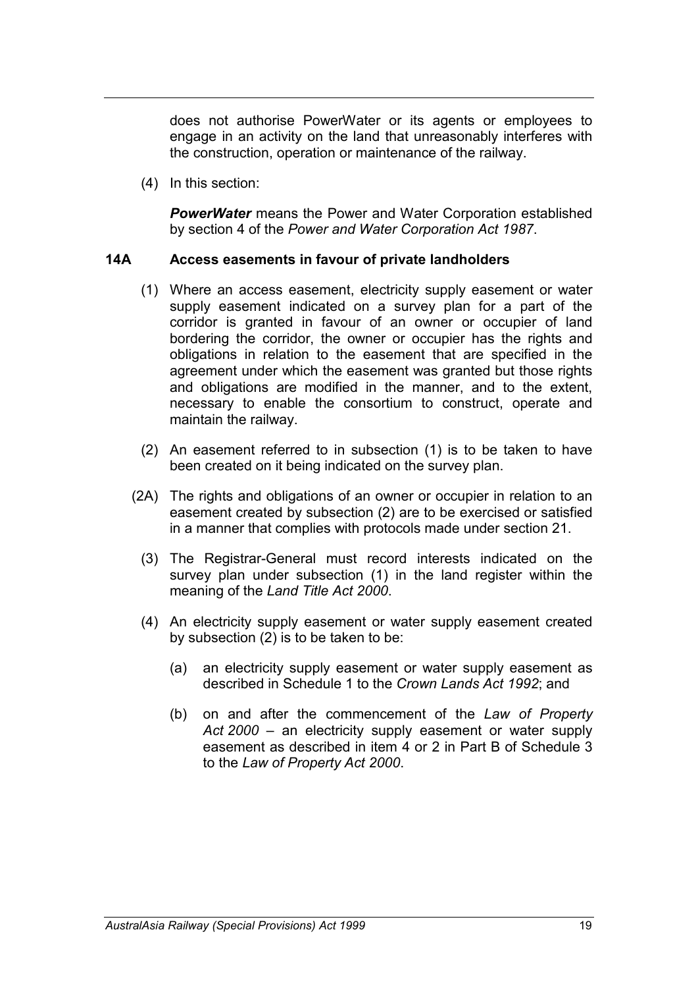does not authorise PowerWater or its agents or employees to engage in an activity on the land that unreasonably interferes with the construction, operation or maintenance of the railway.

(4) In this section:

*PowerWater* means the Power and Water Corporation established by section 4 of the *Power and Water Corporation Act 1987*.

#### **14A Access easements in favour of private landholders**

- (1) Where an access easement, electricity supply easement or water supply easement indicated on a survey plan for a part of the corridor is granted in favour of an owner or occupier of land bordering the corridor, the owner or occupier has the rights and obligations in relation to the easement that are specified in the agreement under which the easement was granted but those rights and obligations are modified in the manner, and to the extent, necessary to enable the consortium to construct, operate and maintain the railway.
- (2) An easement referred to in subsection (1) is to be taken to have been created on it being indicated on the survey plan.
- (2A) The rights and obligations of an owner or occupier in relation to an easement created by subsection (2) are to be exercised or satisfied in a manner that complies with protocols made under section 21.
	- (3) The Registrar-General must record interests indicated on the survey plan under subsection (1) in the land register within the meaning of the *Land Title Act 2000*.
	- (4) An electricity supply easement or water supply easement created by subsection (2) is to be taken to be:
		- (a) an electricity supply easement or water supply easement as described in Schedule 1 to the *Crown Lands Act 1992*; and
		- (b) on and after the commencement of the *Law of Property Act 2000* – an electricity supply easement or water supply easement as described in item 4 or 2 in Part B of Schedule 3 to the *Law of Property Act 2000*.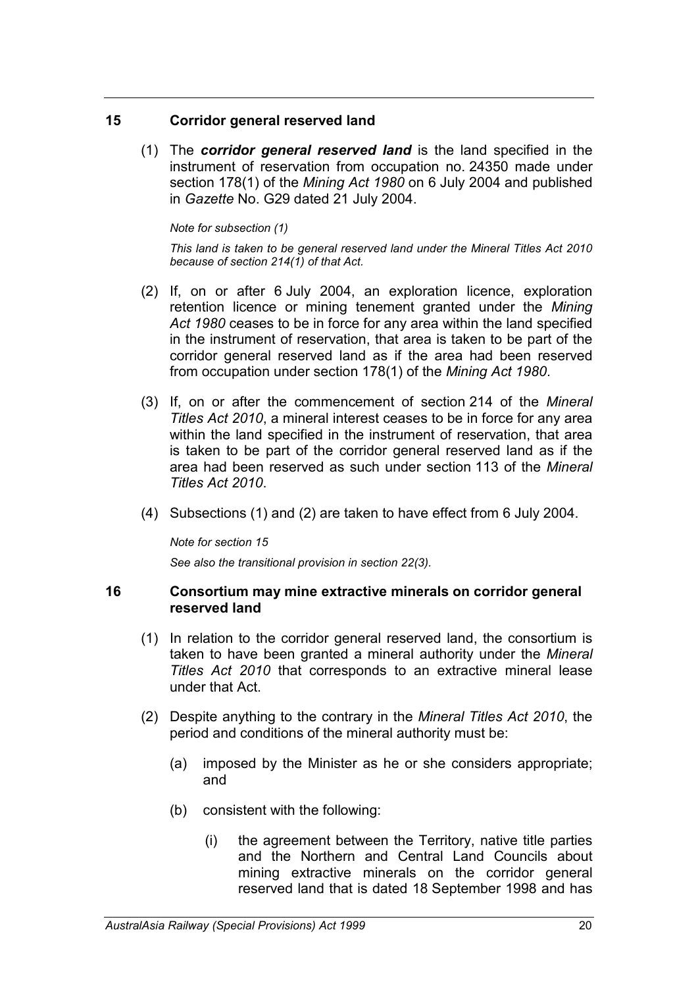#### **15 Corridor general reserved land**

(1) The *corridor general reserved land* is the land specified in the instrument of reservation from occupation no. 24350 made under section 178(1) of the *Mining Act 1980* on 6 July 2004 and published in *Gazette* No. G29 dated 21 July 2004.

#### *Note for subsection (1)*

*This land is taken to be general reserved land under the Mineral Titles Act 2010 because of section 214(1) of that Act.*

- (2) If, on or after 6 July 2004, an exploration licence, exploration retention licence or mining tenement granted under the *Mining Act 1980* ceases to be in force for any area within the land specified in the instrument of reservation, that area is taken to be part of the corridor general reserved land as if the area had been reserved from occupation under section 178(1) of the *Mining Act 1980*.
- (3) If, on or after the commencement of section 214 of the *Mineral Titles Act 2010*, a mineral interest ceases to be in force for any area within the land specified in the instrument of reservation, that area is taken to be part of the corridor general reserved land as if the area had been reserved as such under section 113 of the *Mineral Titles Act 2010*.
- (4) Subsections (1) and (2) are taken to have effect from 6 July 2004.

*Note for section 15 See also the transitional provision in section 22(3).*

#### **16 Consortium may mine extractive minerals on corridor general reserved land**

- (1) In relation to the corridor general reserved land, the consortium is taken to have been granted a mineral authority under the *Mineral Titles Act 2010* that corresponds to an extractive mineral lease under that Act.
- (2) Despite anything to the contrary in the *Mineral Titles Act 2010*, the period and conditions of the mineral authority must be:
	- (a) imposed by the Minister as he or she considers appropriate; and
	- (b) consistent with the following:
		- (i) the agreement between the Territory, native title parties and the Northern and Central Land Councils about mining extractive minerals on the corridor general reserved land that is dated 18 September 1998 and has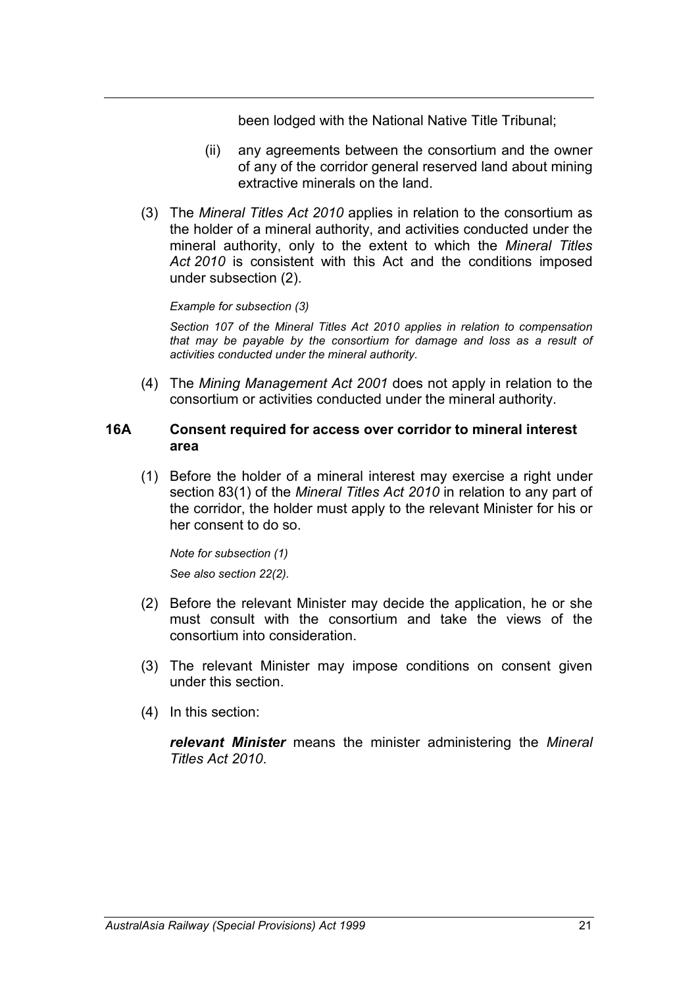been lodged with the National Native Title Tribunal;

- (ii) any agreements between the consortium and the owner of any of the corridor general reserved land about mining extractive minerals on the land.
- (3) The *Mineral Titles Act 2010* applies in relation to the consortium as the holder of a mineral authority, and activities conducted under the mineral authority, only to the extent to which the *Mineral Titles Act 2010* is consistent with this Act and the conditions imposed under subsection (2).

#### *Example for subsection (3)*

*Section 107 of the Mineral Titles Act 2010 applies in relation to compensation that may be payable by the consortium for damage and loss as a result of activities conducted under the mineral authority.*

(4) The *Mining Management Act 2001* does not apply in relation to the consortium or activities conducted under the mineral authority.

#### **16A Consent required for access over corridor to mineral interest area**

(1) Before the holder of a mineral interest may exercise a right under section 83(1) of the *Mineral Titles Act 2010* in relation to any part of the corridor, the holder must apply to the relevant Minister for his or her consent to do so.

*Note for subsection (1) See also section 22(2).*

- (2) Before the relevant Minister may decide the application, he or she must consult with the consortium and take the views of the consortium into consideration.
- (3) The relevant Minister may impose conditions on consent given under this section.
- (4) In this section:

*relevant Minister* means the minister administering the *Mineral Titles Act 2010*.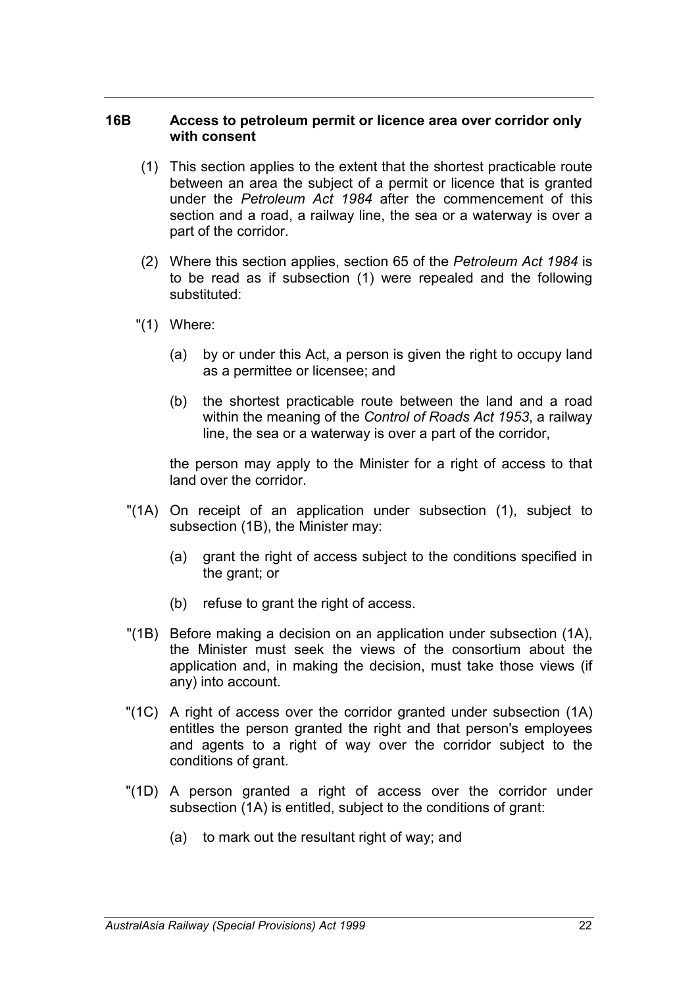#### **16B Access to petroleum permit or licence area over corridor only with consent**

- (1) This section applies to the extent that the shortest practicable route between an area the subject of a permit or licence that is granted under the *Petroleum Act 1984* after the commencement of this section and a road, a railway line, the sea or a waterway is over a part of the corridor.
- (2) Where this section applies, section 65 of the *Petroleum Act 1984* is to be read as if subsection (1) were repealed and the following substituted:
- "(1) Where:
	- (a) by or under this Act, a person is given the right to occupy land as a permittee or licensee; and
	- (b) the shortest practicable route between the land and a road within the meaning of the *Control of Roads Act 1953*, a railway line, the sea or a waterway is over a part of the corridor,

the person may apply to the Minister for a right of access to that land over the corridor.

- "(1A) On receipt of an application under subsection (1), subject to subsection (1B), the Minister may:
	- (a) grant the right of access subject to the conditions specified in the grant; or
	- (b) refuse to grant the right of access.
- "(1B) Before making a decision on an application under subsection (1A), the Minister must seek the views of the consortium about the application and, in making the decision, must take those views (if any) into account.
- "(1C) A right of access over the corridor granted under subsection (1A) entitles the person granted the right and that person's employees and agents to a right of way over the corridor subject to the conditions of grant.
- "(1D) A person granted a right of access over the corridor under subsection (1A) is entitled, subject to the conditions of grant:
	- (a) to mark out the resultant right of way; and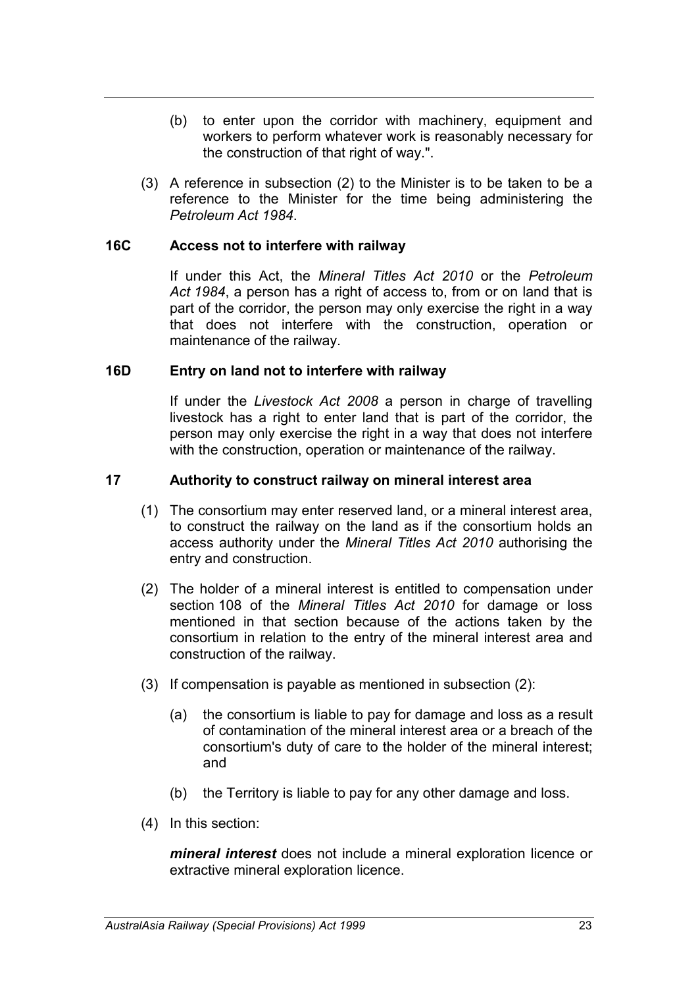- (b) to enter upon the corridor with machinery, equipment and workers to perform whatever work is reasonably necessary for the construction of that right of way.".
- (3) A reference in subsection (2) to the Minister is to be taken to be a reference to the Minister for the time being administering the *Petroleum Act 1984*.

#### **16C Access not to interfere with railway**

If under this Act, the *Mineral Titles Act 2010* or the *Petroleum Act 1984*, a person has a right of access to, from or on land that is part of the corridor, the person may only exercise the right in a way that does not interfere with the construction, operation or maintenance of the railway.

#### **16D Entry on land not to interfere with railway**

If under the *Livestock Act 2008* a person in charge of travelling livestock has a right to enter land that is part of the corridor, the person may only exercise the right in a way that does not interfere with the construction, operation or maintenance of the railway.

#### **17 Authority to construct railway on mineral interest area**

- (1) The consortium may enter reserved land, or a mineral interest area, to construct the railway on the land as if the consortium holds an access authority under the *Mineral Titles Act 2010* authorising the entry and construction.
- (2) The holder of a mineral interest is entitled to compensation under section 108 of the *Mineral Titles Act 2010* for damage or loss mentioned in that section because of the actions taken by the consortium in relation to the entry of the mineral interest area and construction of the railway.
- (3) If compensation is payable as mentioned in subsection (2):
	- (a) the consortium is liable to pay for damage and loss as a result of contamination of the mineral interest area or a breach of the consortium's duty of care to the holder of the mineral interest; and
	- (b) the Territory is liable to pay for any other damage and loss.
- (4) In this section:

*mineral interest* does not include a mineral exploration licence or extractive mineral exploration licence.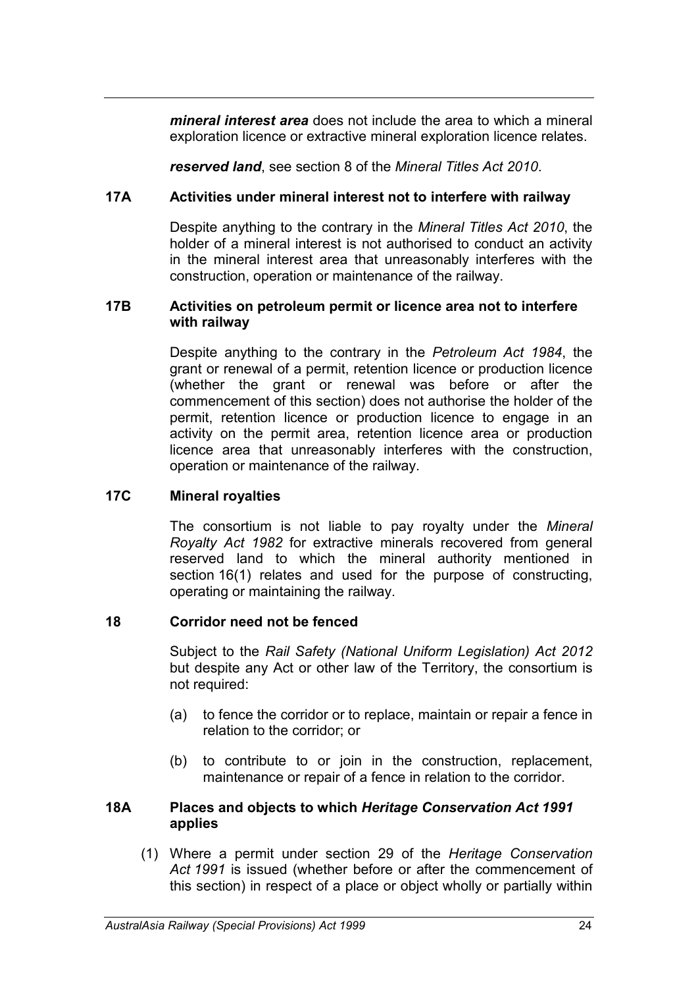*mineral interest area* does not include the area to which a mineral exploration licence or extractive mineral exploration licence relates.

*reserved land*, see section 8 of the *Mineral Titles Act 2010*.

# **17A Activities under mineral interest not to interfere with railway**

Despite anything to the contrary in the *Mineral Titles Act 2010*, the holder of a mineral interest is not authorised to conduct an activity in the mineral interest area that unreasonably interferes with the construction, operation or maintenance of the railway.

#### **17B Activities on petroleum permit or licence area not to interfere with railway**

Despite anything to the contrary in the *Petroleum Act 1984*, the grant or renewal of a permit, retention licence or production licence (whether the grant or renewal was before or after the commencement of this section) does not authorise the holder of the permit, retention licence or production licence to engage in an activity on the permit area, retention licence area or production licence area that unreasonably interferes with the construction, operation or maintenance of the railway.

# **17C Mineral royalties**

The consortium is not liable to pay royalty under the *Mineral Royalty Act 1982* for extractive minerals recovered from general reserved land to which the mineral authority mentioned in section 16(1) relates and used for the purpose of constructing, operating or maintaining the railway.

# **18 Corridor need not be fenced**

Subject to the *Rail Safety (National Uniform Legislation) Act 2012* but despite any Act or other law of the Territory, the consortium is not required:

- (a) to fence the corridor or to replace, maintain or repair a fence in relation to the corridor; or
- (b) to contribute to or join in the construction, replacement, maintenance or repair of a fence in relation to the corridor.

### **18A Places and objects to which** *Heritage Conservation Act 1991* **applies**

(1) Where a permit under section 29 of the *Heritage Conservation Act 1991* is issued (whether before or after the commencement of this section) in respect of a place or object wholly or partially within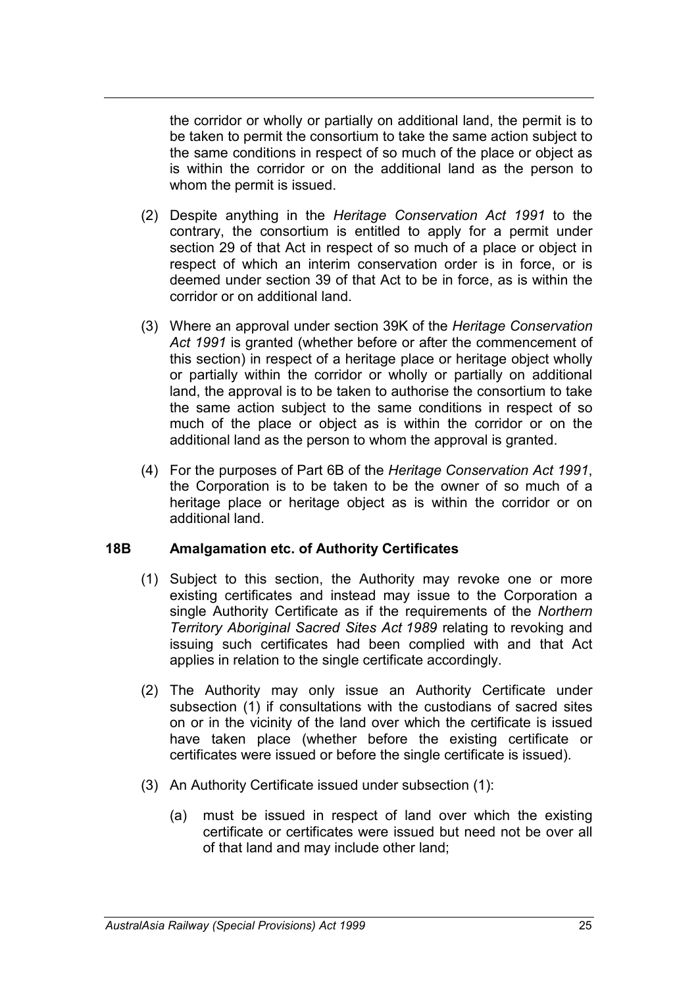the corridor or wholly or partially on additional land, the permit is to be taken to permit the consortium to take the same action subject to the same conditions in respect of so much of the place or object as is within the corridor or on the additional land as the person to whom the permit is issued.

- (2) Despite anything in the *Heritage Conservation Act 1991* to the contrary, the consortium is entitled to apply for a permit under section 29 of that Act in respect of so much of a place or object in respect of which an interim conservation order is in force, or is deemed under section 39 of that Act to be in force, as is within the corridor or on additional land.
- (3) Where an approval under section 39K of the *Heritage Conservation Act 1991* is granted (whether before or after the commencement of this section) in respect of a heritage place or heritage object wholly or partially within the corridor or wholly or partially on additional land, the approval is to be taken to authorise the consortium to take the same action subject to the same conditions in respect of so much of the place or object as is within the corridor or on the additional land as the person to whom the approval is granted.
- (4) For the purposes of Part 6B of the *Heritage Conservation Act 1991*, the Corporation is to be taken to be the owner of so much of a heritage place or heritage object as is within the corridor or on additional land.

#### **18B Amalgamation etc. of Authority Certificates**

- (1) Subject to this section, the Authority may revoke one or more existing certificates and instead may issue to the Corporation a single Authority Certificate as if the requirements of the *Northern Territory Aboriginal Sacred Sites Act 1989* relating to revoking and issuing such certificates had been complied with and that Act applies in relation to the single certificate accordingly.
- (2) The Authority may only issue an Authority Certificate under subsection (1) if consultations with the custodians of sacred sites on or in the vicinity of the land over which the certificate is issued have taken place (whether before the existing certificate or certificates were issued or before the single certificate is issued).
- (3) An Authority Certificate issued under subsection (1):
	- (a) must be issued in respect of land over which the existing certificate or certificates were issued but need not be over all of that land and may include other land;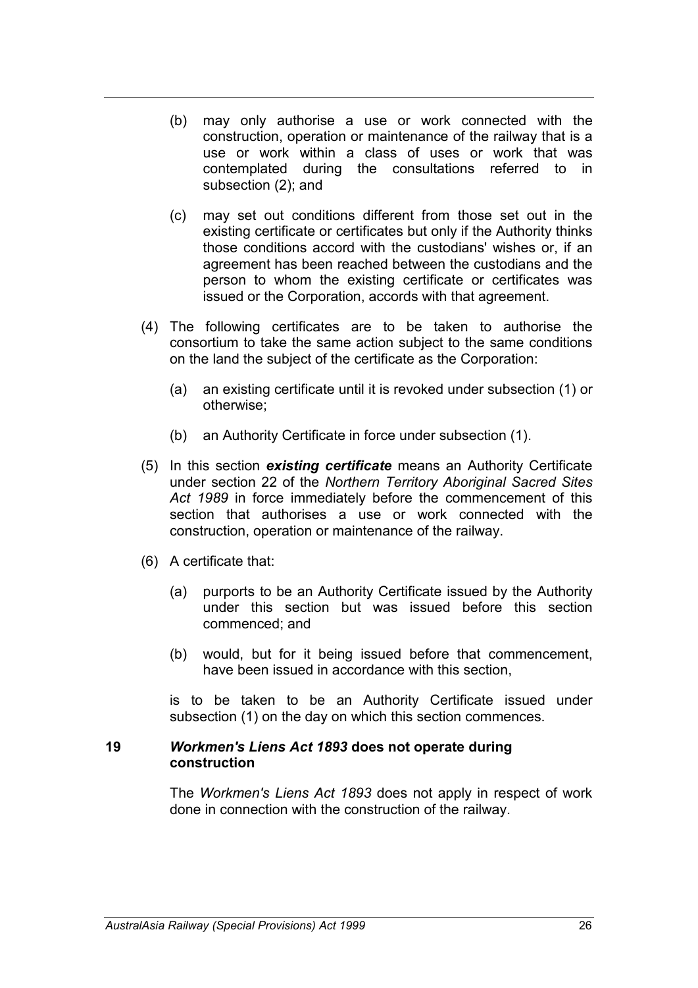- (b) may only authorise a use or work connected with the construction, operation or maintenance of the railway that is a use or work within a class of uses or work that was contemplated during the consultations referred to in subsection (2); and
- (c) may set out conditions different from those set out in the existing certificate or certificates but only if the Authority thinks those conditions accord with the custodians' wishes or, if an agreement has been reached between the custodians and the person to whom the existing certificate or certificates was issued or the Corporation, accords with that agreement.
- (4) The following certificates are to be taken to authorise the consortium to take the same action subject to the same conditions on the land the subject of the certificate as the Corporation:
	- (a) an existing certificate until it is revoked under subsection (1) or otherwise;
	- (b) an Authority Certificate in force under subsection (1).
- (5) In this section *existing certificate* means an Authority Certificate under section 22 of the *Northern Territory Aboriginal Sacred Sites Act 1989* in force immediately before the commencement of this section that authorises a use or work connected with the construction, operation or maintenance of the railway.
- (6) A certificate that:
	- (a) purports to be an Authority Certificate issued by the Authority under this section but was issued before this section commenced; and
	- (b) would, but for it being issued before that commencement, have been issued in accordance with this section,

is to be taken to be an Authority Certificate issued under subsection (1) on the day on which this section commences.

#### **19** *Workmen's Liens Act 1893* **does not operate during construction**

The *Workmen's Liens Act 1893* does not apply in respect of work done in connection with the construction of the railway.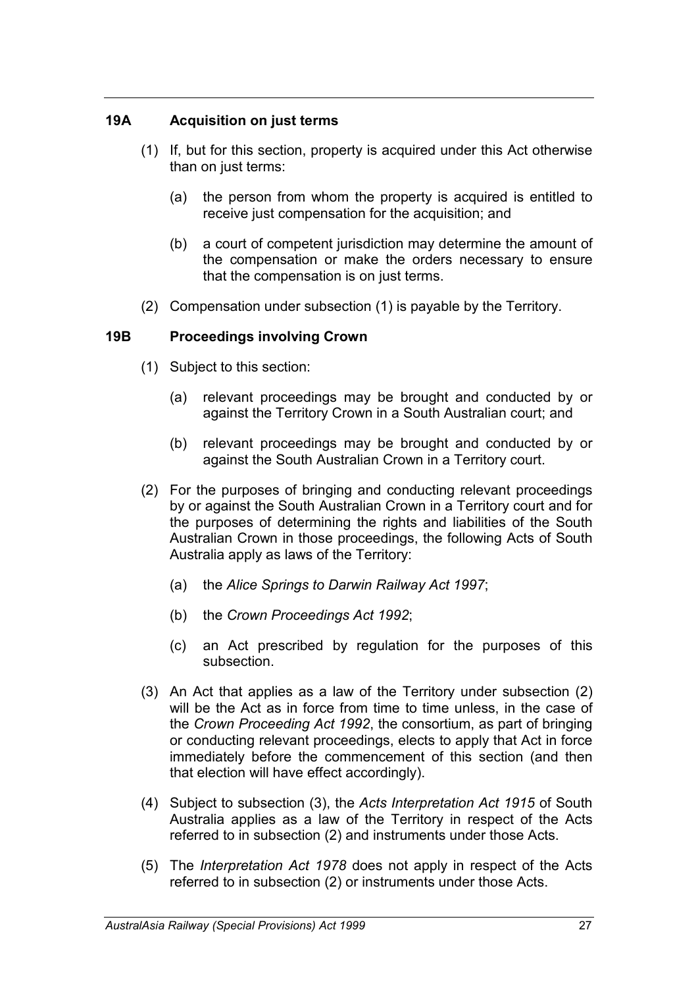### **19A Acquisition on just terms**

- (1) If, but for this section, property is acquired under this Act otherwise than on just terms:
	- (a) the person from whom the property is acquired is entitled to receive just compensation for the acquisition; and
	- (b) a court of competent jurisdiction may determine the amount of the compensation or make the orders necessary to ensure that the compensation is on just terms.
- (2) Compensation under subsection (1) is payable by the Territory.

#### **19B Proceedings involving Crown**

- (1) Subject to this section:
	- (a) relevant proceedings may be brought and conducted by or against the Territory Crown in a South Australian court; and
	- (b) relevant proceedings may be brought and conducted by or against the South Australian Crown in a Territory court.
- (2) For the purposes of bringing and conducting relevant proceedings by or against the South Australian Crown in a Territory court and for the purposes of determining the rights and liabilities of the South Australian Crown in those proceedings, the following Acts of South Australia apply as laws of the Territory:
	- (a) the *Alice Springs to Darwin Railway Act 1997*;
	- (b) the *Crown Proceedings Act 1992*;
	- (c) an Act prescribed by regulation for the purposes of this subsection.
- (3) An Act that applies as a law of the Territory under subsection (2) will be the Act as in force from time to time unless, in the case of the *Crown Proceeding Act 1992*, the consortium, as part of bringing or conducting relevant proceedings, elects to apply that Act in force immediately before the commencement of this section (and then that election will have effect accordingly).
- (4) Subject to subsection (3), the *Acts Interpretation Act 1915* of South Australia applies as a law of the Territory in respect of the Acts referred to in subsection (2) and instruments under those Acts.
- (5) The *Interpretation Act 1978* does not apply in respect of the Acts referred to in subsection (2) or instruments under those Acts.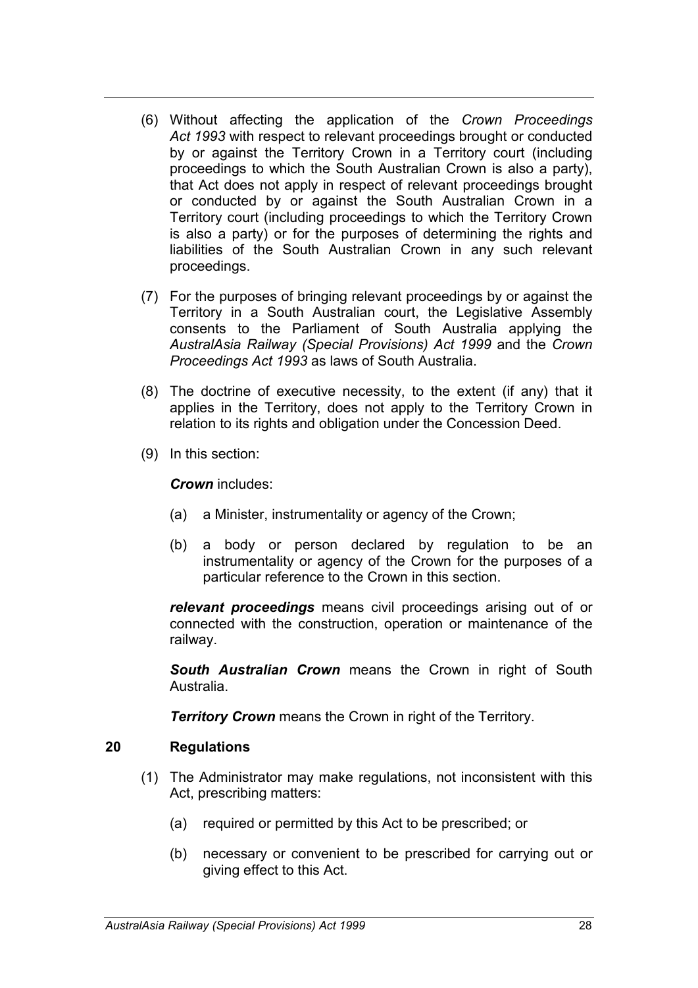- (6) Without affecting the application of the *Crown Proceedings Act 1993* with respect to relevant proceedings brought or conducted by or against the Territory Crown in a Territory court (including proceedings to which the South Australian Crown is also a party), that Act does not apply in respect of relevant proceedings brought or conducted by or against the South Australian Crown in a Territory court (including proceedings to which the Territory Crown is also a party) or for the purposes of determining the rights and liabilities of the South Australian Crown in any such relevant proceedings.
- (7) For the purposes of bringing relevant proceedings by or against the Territory in a South Australian court, the Legislative Assembly consents to the Parliament of South Australia applying the *AustralAsia Railway (Special Provisions) Act 1999* and the *Crown Proceedings Act 1993* as laws of South Australia.
- (8) The doctrine of executive necessity, to the extent (if any) that it applies in the Territory, does not apply to the Territory Crown in relation to its rights and obligation under the Concession Deed.
- (9) In this section:

*Crown* includes:

- (a) a Minister, instrumentality or agency of the Crown;
- (b) a body or person declared by regulation to be an instrumentality or agency of the Crown for the purposes of a particular reference to the Crown in this section.

*relevant proceedings* means civil proceedings arising out of or connected with the construction, operation or maintenance of the railway.

*South Australian Crown* means the Crown in right of South Australia.

*Territory Crown* means the Crown in right of the Territory.

# **20 Regulations**

- (1) The Administrator may make regulations, not inconsistent with this Act, prescribing matters:
	- (a) required or permitted by this Act to be prescribed; or
	- (b) necessary or convenient to be prescribed for carrying out or giving effect to this Act.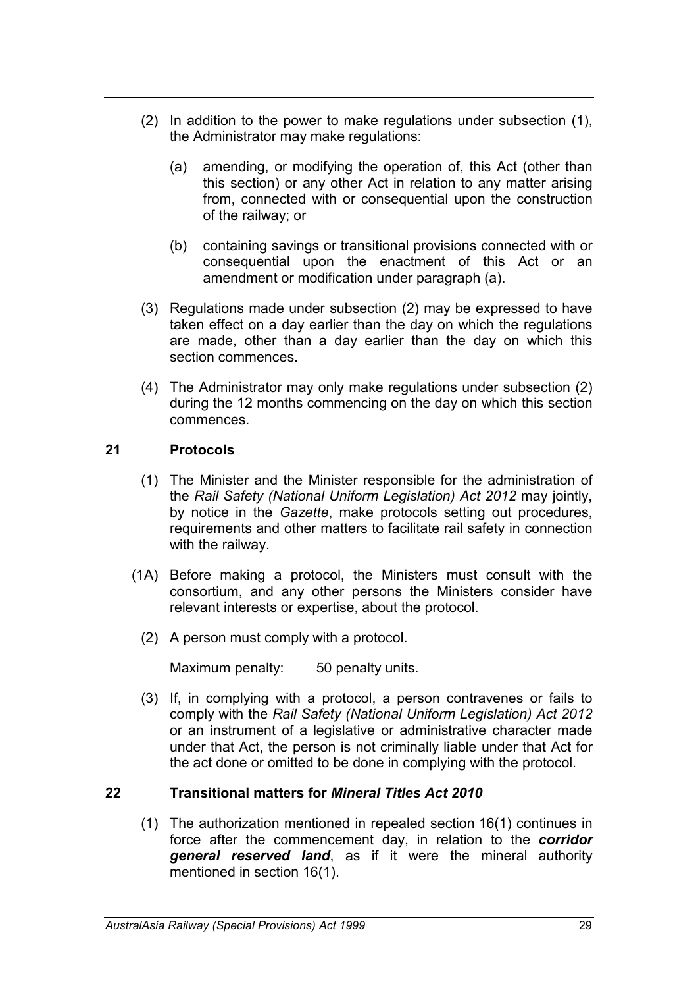- (2) In addition to the power to make regulations under subsection (1), the Administrator may make regulations:
	- (a) amending, or modifying the operation of, this Act (other than this section) or any other Act in relation to any matter arising from, connected with or consequential upon the construction of the railway; or
	- (b) containing savings or transitional provisions connected with or consequential upon the enactment of this Act or an amendment or modification under paragraph (a).
- (3) Regulations made under subsection (2) may be expressed to have taken effect on a day earlier than the day on which the regulations are made, other than a day earlier than the day on which this section commences.
- (4) The Administrator may only make regulations under subsection (2) during the 12 months commencing on the day on which this section commences.

### **21 Protocols**

- (1) The Minister and the Minister responsible for the administration of the *Rail Safety (National Uniform Legislation) Act 2012* may jointly, by notice in the *Gazette*, make protocols setting out procedures, requirements and other matters to facilitate rail safety in connection with the railway.
- (1A) Before making a protocol, the Ministers must consult with the consortium, and any other persons the Ministers consider have relevant interests or expertise, about the protocol.
	- (2) A person must comply with a protocol.

Maximum penalty: 50 penalty units.

(3) If, in complying with a protocol, a person contravenes or fails to comply with the *Rail Safety (National Uniform Legislation) Act 2012* or an instrument of a legislative or administrative character made under that Act, the person is not criminally liable under that Act for the act done or omitted to be done in complying with the protocol.

#### **22 Transitional matters for** *Mineral Titles Act 2010*

(1) The authorization mentioned in repealed section 16(1) continues in force after the commencement day, in relation to the *corridor general reserved land*, as if it were the mineral authority mentioned in section 16(1).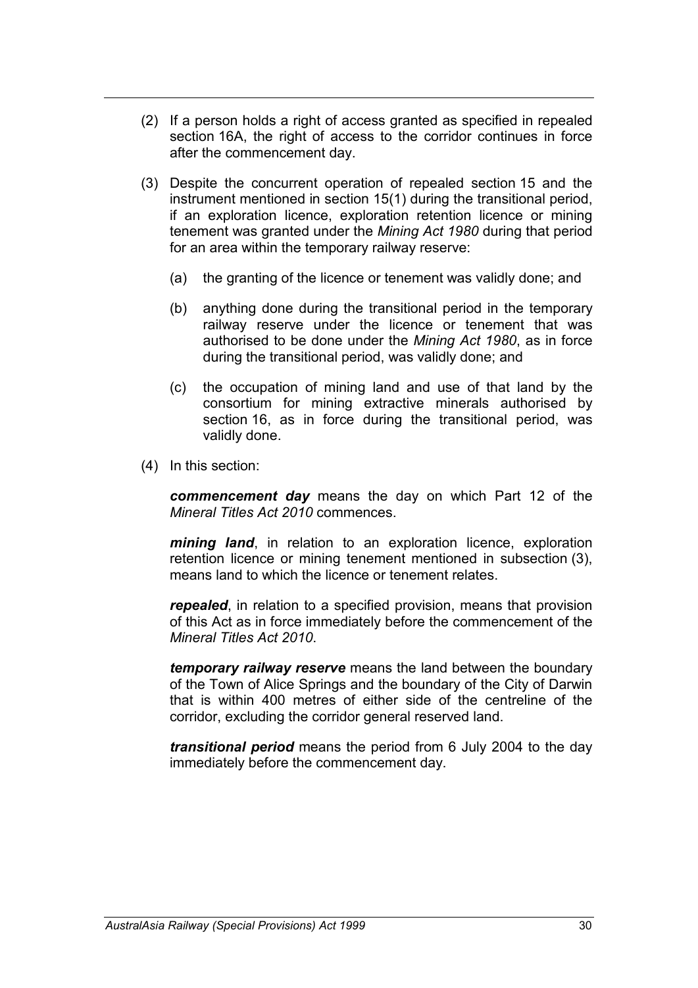- (2) If a person holds a right of access granted as specified in repealed section 16A, the right of access to the corridor continues in force after the commencement day.
- (3) Despite the concurrent operation of repealed section 15 and the instrument mentioned in section 15(1) during the transitional period, if an exploration licence, exploration retention licence or mining tenement was granted under the *Mining Act 1980* during that period for an area within the temporary railway reserve:
	- (a) the granting of the licence or tenement was validly done; and
	- (b) anything done during the transitional period in the temporary railway reserve under the licence or tenement that was authorised to be done under the *Mining Act 1980*, as in force during the transitional period, was validly done; and
	- (c) the occupation of mining land and use of that land by the consortium for mining extractive minerals authorised by section 16, as in force during the transitional period, was validly done.
- (4) In this section:

*commencement day* means the day on which Part 12 of the *Mineral Titles Act 2010* commences.

*mining land*, in relation to an exploration licence, exploration retention licence or mining tenement mentioned in subsection (3), means land to which the licence or tenement relates.

*repealed*, in relation to a specified provision, means that provision of this Act as in force immediately before the commencement of the *Mineral Titles Act 2010*.

*temporary railway reserve* means the land between the boundary of the Town of Alice Springs and the boundary of the City of Darwin that is within 400 metres of either side of the centreline of the corridor, excluding the corridor general reserved land.

*transitional period* means the period from 6 July 2004 to the day immediately before the commencement day.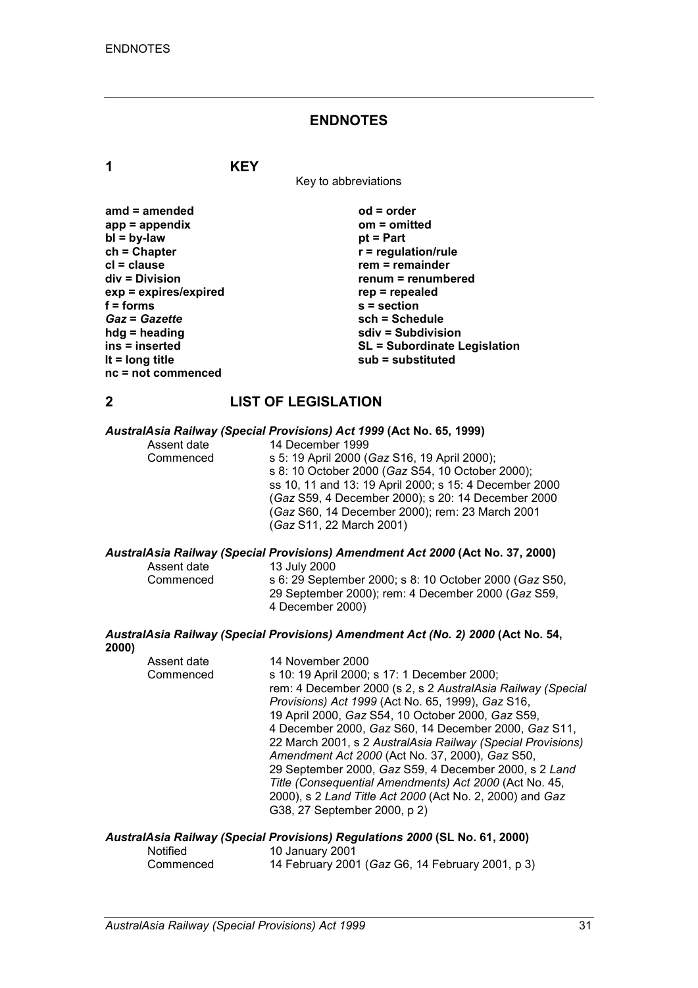#### **ENDNOTES**

**1 KEY**

Key to abbreviations

| amd $=$ amended       | $od = order$                        |
|-----------------------|-------------------------------------|
| $app = appendix$      | $om = omitted$                      |
| $bl = by-law$         | $pt = Part$                         |
| $ch = Chapter$        | $r =$ regulation/rule               |
| $cl = clause$         | $rem = remainder$                   |
| div = Division        | renum = renumbered                  |
| exp = expires/expired | $rep = repeated$                    |
| $f =$ forms           | $s =$ section                       |
| <b>Gaz = Gazette</b>  | sch = Schedule                      |
| $hdg =$ heading       | sdiv = Subdivision                  |
| ins = inserted        | <b>SL = Subordinate Legislation</b> |
| It = $long$ title     | sub = substituted                   |
| $nc = not$ commenced  |                                     |

**2000)**

#### **2 LIST OF LEGISLATION**

#### *AustralAsia Railway (Special Provisions) Act 1999* **(Act No. 65, 1999)**

|       |             | Adou diAoid Mainhay (Opeolan Froviolono) Act 1999 (Act 110, 00, 1999)            |
|-------|-------------|----------------------------------------------------------------------------------|
|       | Assent date | 14 December 1999                                                                 |
|       | Commenced   | s 5: 19 April 2000 (Gaz S16, 19 April 2000);                                     |
|       |             | s 8: 10 October 2000 (Gaz S54, 10 October 2000);                                 |
|       |             | ss 10, 11 and 13: 19 April 2000; s 15: 4 December 2000                           |
|       |             | (Gaz S59, 4 December 2000); s 20: 14 December 2000                               |
|       |             |                                                                                  |
|       |             | (Gaz S60, 14 December 2000); rem: 23 March 2001                                  |
|       |             | (Gaz S11, 22 March 2001)                                                         |
|       |             | AustralAsia Railway (Special Provisions) Amendment Act 2000 (Act No. 37, 2000)   |
|       | Assent date | 13 July 2000                                                                     |
|       | Commenced   | s 6: 29 September 2000; s 8: 10 October 2000 (Gaz S50,                           |
|       |             | 29 September 2000); rem: 4 December 2000 (Gaz S59,                               |
|       |             | 4 December 2000)                                                                 |
|       |             |                                                                                  |
| 2000) |             | AustralAsia Railway (Special Provisions) Amendment Act (No. 2) 2000 (Act No. 54, |
|       | Assent date | 14 November 2000                                                                 |
|       | Commenced   | s 10: 19 April 2000; s 17: 1 December 2000;                                      |
|       |             | rem: 4 December 2000 (s 2, s 2 AustralAsia Railway (Special                      |
|       |             | Provisions) Act 1999 (Act No. 65, 1999), Gaz S16,                                |
|       |             |                                                                                  |
|       |             | 19 April 2000, Gaz S54, 10 October 2000, Gaz S59,                                |
|       |             | 4 December 2000, Gaz S60, 14 December 2000, Gaz S11,                             |

22 March 2001, s 2 *AustralAsia Railway (Special Provisions) Amendment Act 2000* (Act No. 37, 2000), *Gaz* S50, 29 September 2000, *Gaz* S59, 4 December 2000, s 2 *Land Title (Consequential Amendments) Act 2000* (Act No. 45, 2000), s 2 *Land Title Act 2000* (Act No. 2, 2000) and *Gaz* G38, 27 September 2000, p 2)

#### *AustralAsia Railway (Special Provisions) Regulations 2000* **(SL No. 61, 2000)**

| <b>Notified</b> | 10 January 2001                                  |
|-----------------|--------------------------------------------------|
| Commenced       | 14 February 2001 (Gaz G6, 14 February 2001, p 3) |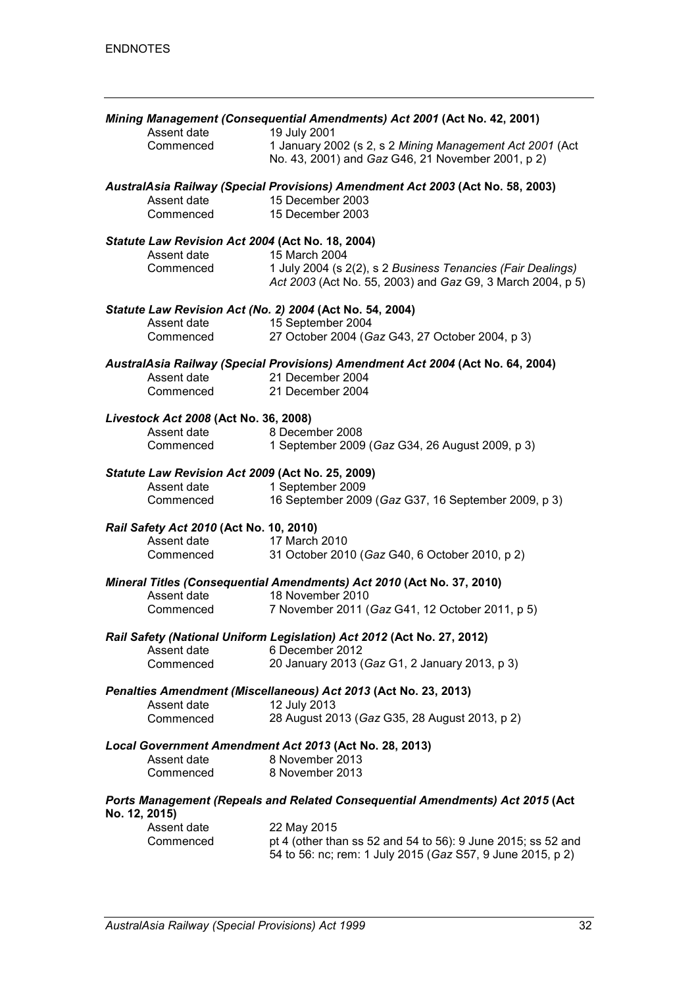|                                                          | Mining Management (Consequential Amendments) Act 2001 (Act No. 42, 2001)                                                  |
|----------------------------------------------------------|---------------------------------------------------------------------------------------------------------------------------|
| Assent date                                              | 19 July 2001                                                                                                              |
| Commenced                                                | 1 January 2002 (s 2, s 2 Mining Management Act 2001 (Act<br>No. 43, 2001) and Gaz G46, 21 November 2001, p 2)             |
|                                                          | AustralAsia Railway (Special Provisions) Amendment Act 2003 (Act No. 58, 2003)                                            |
| Assent date                                              | 15 December 2003                                                                                                          |
| Commenced                                                | 15 December 2003                                                                                                          |
| Statute Law Revision Act 2004 (Act No. 18, 2004)         |                                                                                                                           |
| Assent date                                              | 15 March 2004                                                                                                             |
| Commenced                                                | 1 July 2004 (s 2(2), s 2 Business Tenancies (Fair Dealings)<br>Act 2003 (Act No. 55, 2003) and Gaz G9, 3 March 2004, p 5) |
| Statute Law Revision Act (No. 2) 2004 (Act No. 54, 2004) |                                                                                                                           |
| Assent date                                              | 15 September 2004                                                                                                         |
| Commenced                                                | 27 October 2004 (Gaz G43, 27 October 2004, p 3)                                                                           |
|                                                          | AustralAsia Railway (Special Provisions) Amendment Act 2004 (Act No. 64, 2004)                                            |
| Assent date                                              | 21 December 2004                                                                                                          |
| Commenced                                                | 21 December 2004                                                                                                          |
| Livestock Act 2008 (Act No. 36, 2008)                    |                                                                                                                           |
| Assent date                                              | 8 December 2008                                                                                                           |
| Commenced                                                | 1 September 2009 (Gaz G34, 26 August 2009, p 3)                                                                           |
| Statute Law Revision Act 2009 (Act No. 25, 2009)         |                                                                                                                           |
| Assent date                                              | 1 September 2009<br>16 September 2009 (Gaz G37, 16 September 2009, p 3)                                                   |
| Commenced                                                |                                                                                                                           |
| Rail Safety Act 2010 (Act No. 10, 2010)                  |                                                                                                                           |
| Assent date                                              | 17 March 2010                                                                                                             |
| Commenced                                                | 31 October 2010 (Gaz G40, 6 October 2010, p 2)                                                                            |
| Assent date                                              | Mineral Titles (Consequential Amendments) Act 2010 (Act No. 37, 2010)<br>18 November 2010                                 |
|                                                          | 7 November 2011 (Gaz G41, 12 October 2011, p 5)                                                                           |
| Commenced                                                |                                                                                                                           |
|                                                          | Rail Safety (National Uniform Legislation) Act 2012 (Act No. 27, 2012)                                                    |
| Assent date                                              | 6 December 2012                                                                                                           |
| Commenced                                                | 20 January 2013 (Gaz G1, 2 January 2013, p 3)                                                                             |
|                                                          | Penalties Amendment (Miscellaneous) Act 2013 (Act No. 23, 2013)                                                           |
| Assent date                                              | 12 July 2013                                                                                                              |
| Commenced                                                | 28 August 2013 (Gaz G35, 28 August 2013, p 2)                                                                             |
|                                                          | Local Government Amendment Act 2013 (Act No. 28, 2013)                                                                    |
| Assent date                                              | 8 November 2013                                                                                                           |
| Commenced                                                | 8 November 2013                                                                                                           |
| No. 12, 2015)                                            | Ports Management (Repeals and Related Consequential Amendments) Act 2015 (Act                                             |
| Assent date                                              | 22 May 2015                                                                                                               |
| Commenced                                                | pt 4 (other than ss 52 and 54 to 56): 9 June 2015; ss 52 and                                                              |
|                                                          | 54 to 56: nc; rem: 1 July 2015 (Gaz S57, 9 June 2015, p 2)                                                                |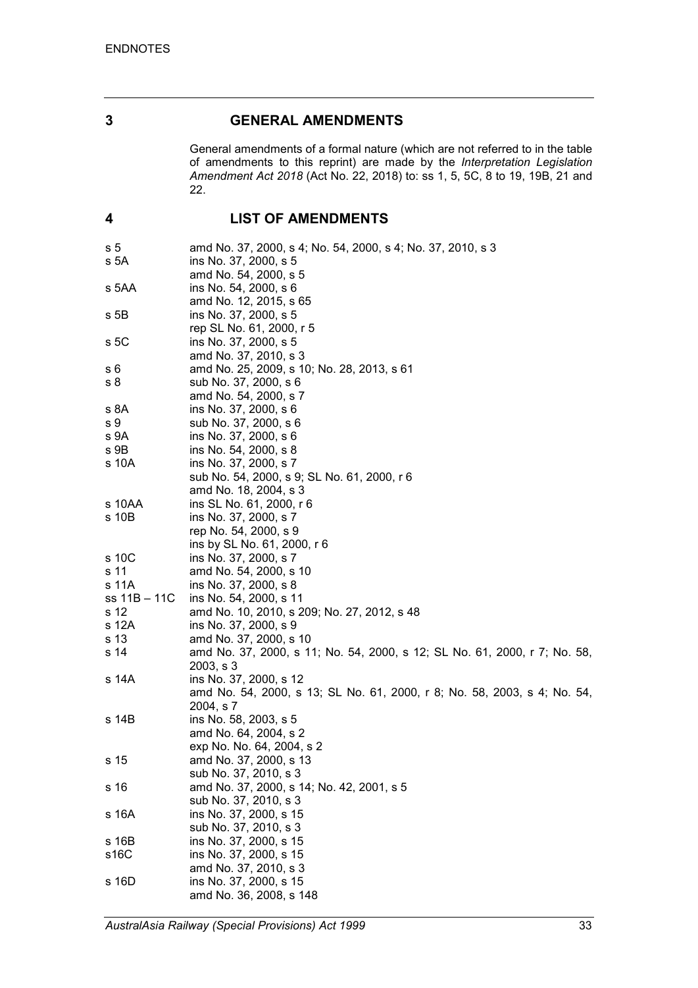### **3 GENERAL AMENDMENTS**

General amendments of a formal nature (which are not referred to in the table of amendments to this reprint) are made by the *Interpretation Legislation Amendment Act 2018* (Act No. 22, 2018) to: ss 1, 5, 5C, 8 to 19, 19B, 21 and 22.

# **4 LIST OF AMENDMENTS**

| s 5          | amd No. 37, 2000, s 4; No. 54, 2000, s 4; No. 37, 2010, s 3               |
|--------------|---------------------------------------------------------------------------|
| s 5A         | ins No. 37, 2000, s 5                                                     |
|              | amd No. 54, 2000, s 5                                                     |
| s 5AA        | ins No. 54, 2000, s 6                                                     |
|              | amd No. 12, 2015, s 65                                                    |
| s 5B         | ins No. 37, 2000, s 5                                                     |
|              | rep SL No. 61, 2000, r 5                                                  |
| s 5C         | ins No. 37, 2000, s 5                                                     |
|              | amd No. 37, 2010, s 3                                                     |
|              |                                                                           |
| s 6          | amd No. 25, 2009, s 10; No. 28, 2013, s 61                                |
| s 8          | sub No. 37, 2000, s 6                                                     |
|              | amd No. 54, 2000, s 7                                                     |
| s 8A         | ins No. 37, 2000, s 6                                                     |
| s 9          | sub No. 37, 2000, s 6                                                     |
| s 9A         | ins No. 37, 2000, s 6                                                     |
| s 9B         | ins No. 54, 2000, s 8                                                     |
| s 10A        | ins No. 37, 2000, s 7                                                     |
|              | sub No. 54, 2000, s 9; SL No. 61, 2000, r 6                               |
|              | amd No. 18, 2004, s 3                                                     |
| s 10AA       | ins SL No. 61, 2000, r 6                                                  |
| s 10B        | ins No. 37, 2000, s 7                                                     |
|              | rep No. 54, 2000, s 9                                                     |
|              | ins by SL No. 61, 2000, r 6                                               |
| s 10C        | ins No. 37, 2000, s 7                                                     |
| s 11         | amd No. 54, 2000, s 10                                                    |
| s 11A        | ins No. 37, 2000, s 8                                                     |
| ss 11B - 11C | ins No. 54, 2000, s 11                                                    |
| s 12         | amd No. 10, 2010, s 209; No. 27, 2012, s 48                               |
| s 12A        | ins No. 37, 2000, s 9                                                     |
| s 13         | amd No. 37, 2000, s 10                                                    |
| s 14         | amd No. 37, 2000, s 11; No. 54, 2000, s 12; SL No. 61, 2000, r 7; No. 58, |
|              | 2003, s3                                                                  |
| s 14A        | ins No. 37, 2000, s 12                                                    |
|              | amd No. 54, 2000, s 13; SL No. 61, 2000, r 8; No. 58, 2003, s 4; No. 54,  |
|              | 2004, s 7                                                                 |
|              |                                                                           |
| s 14B        | ins No. 58, 2003, s 5                                                     |
|              | amd No. 64, 2004, s 2                                                     |
|              | exp No. No. 64, 2004, s 2                                                 |
| s 15         | amd No. 37, 2000, s 13                                                    |
|              | sub No. 37, 2010, s 3                                                     |
| s 16         | amd No. 37, 2000, s 14; No. 42, 2001, s 5                                 |
|              | sub No. 37, 2010, s 3                                                     |
| s 16A        | ins No. 37, 2000, s 15                                                    |
|              | sub No. 37, 2010, s 3                                                     |
| s 16B        | ins No. 37, 2000, s 15                                                    |
| s16C         | ins No. 37, 2000, s 15                                                    |
|              | amd No. 37, 2010, s 3                                                     |
| s 16D        | ins No. 37, 2000, s 15                                                    |
|              | amd No. 36, 2008, s 148                                                   |